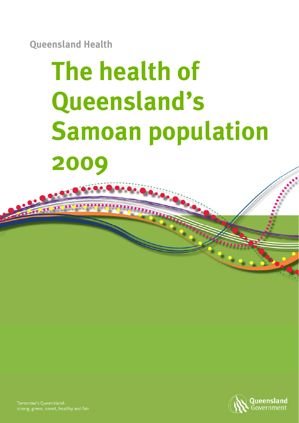**Queensland Health** 

# **The health of Queensland's Samoan population 2009**



Tomorrow's Queensland: strong, green, smart, healthy and fair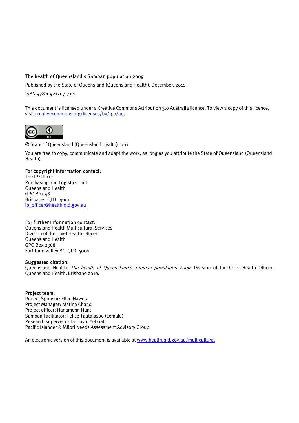#### The health of Queensland's Samoan population 2009

Published by the State of Queensland (Queensland Health), December, 2011

ISBN 978-1-921707-71-1

This document is licensed under a Creative Commons Attribution 3.0 Australia licence. To view a copy of this licence, visit creativecommons.org/licenses/by/3.0/au.



© State of Queensland (Queensland Health) 2011.

You are free to copy, communicate and adapt the work, as long as you attribute the State of Queensland (Queensland Health).

#### For copyright information contact:

The IP Officer Purchasing and Logistics Unit Queensland Health GPO Box 48 Brisbane QLD 4001 ip\_officer@health.qld.gov.au

#### For further information contact:

Queensland Health Multicultural Services Division of the Chief Health Officer Queensland Health GPO Box 2368 Fortitude Valley BC OLD 4006

#### Suggested citation:

Queensland Health. The health of Queensland's Samoan population 2009. Division of the Chief Health Officer, Queensland Health. Brisbane 2010.

#### Project team:

Project Sponsor: Ellen Hawes Project Manager: Marina Chand Project officer: Hanamenn Hunt Samoan Facilitator: Felise Tautalasoo (Lemalu) Research supervisor: Dr David Yeboah Pacific Islander & Māori Needs Assessment Advisory Group

An electronic version of this document is available at www.health.qld.gov.au/multicultural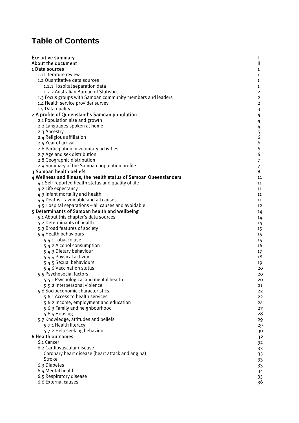# **Table of Contents**

| <b>Executive summary</b>                                          |                     |
|-------------------------------------------------------------------|---------------------|
| About the document                                                | Ш                   |
| 1 Data sources                                                    | 1                   |
| 1.1 Literature review                                             | 1                   |
| 1.2 Quantitative data sources                                     | 1                   |
| 1.2.1 Hospital separation data                                    | $\mathbf{1}$        |
| 1.2.2 Australian Bureau of Statistics                             | 2                   |
| 1.3 Focus groups with Samoan community members and leaders        | 2                   |
| 1.4 Health service provider survey                                | $\overline{2}$      |
| 1.5 Data quality                                                  | 3                   |
| 2 A profile of Queensland's Samoan population                     | 4                   |
| 2.1 Population size and growth                                    | 4                   |
| 2.2 Languages spoken at home                                      | 4                   |
| 2.3 Ancestry<br>2.4 Religious affiliation                         | 5<br>6              |
| 2.5 Year of arrival                                               | 6                   |
| 2.6 Participation in voluntary activities                         | 6                   |
| 2.7 Age and sex distribution                                      | 6                   |
| 2.8 Geographic distribution                                       |                     |
| 2.9 Summary of the Samoan population profile                      | $\overline{7}$<br>7 |
| 3 Samoan health beliefs                                           | 8                   |
| 4 Wellness and illness, the health status of Samoan Queenslanders | 11                  |
| 4.1 Self-reported health status and quality of life               | 11                  |
| 4.2 Life expectancy                                               | 11                  |
| 4.3 Infant mortality and health                                   | 11                  |
| 4.4 Deaths - avoidable and all causes                             | 11                  |
| 4.5 Hospital separations – all causes and avoidable               | 12                  |
| 5 Determinants of Samoan health and wellbeing                     | 14                  |
| 5.1 About this chapter's data sources                             | 14                  |
| 5.2 Determinants of health                                        | 14                  |
| 5.3 Broad features of society                                     | 15                  |
| 5.4 Health behaviours                                             | 15                  |
| 5.4.1 Tobacco use                                                 | 15                  |
| 5.4.2 Alcohol consumption                                         | 16                  |
| 5.4.3 Dietary behaviour                                           | 17                  |
| 5.4.4 Physical activity                                           | 18                  |
| 5.4.5 Sexual behaviours                                           | 19                  |
| 5.4.6 Vaccination status                                          | 20                  |
| 5.5 Psychosocial factors                                          | 20                  |
| 5.5.1 Psychological and mental health                             | 20                  |
| 5.5.2 Interpersonal violence                                      | 21                  |
| 5.6 Socioeconomic characteristics                                 | 22                  |
| 5.6.1 Access to health services                                   | 22                  |
| 5.6.2 Income, employment and education                            | 24                  |
| 5.6.3 Family and neighbourhood                                    | 27<br>28            |
| 5.6.4 Housing<br>5.7 Knowledge, attitudes and beliefs             |                     |
| 5.7.1 Health literacy                                             | 29                  |
| 5.7.2 Help seeking behaviour                                      | 29<br>30            |
| <b>6 Health outcomes</b>                                          | 32                  |
| 6.1 Cancer                                                        | 32                  |
| 6.2 Cardiovascular disease                                        | 33                  |
| Coronary heart disease (heart attack and angina)                  | 33                  |
| Stroke                                                            | 33                  |
| 6.3 Diabetes                                                      | 33                  |
| 6.4 Mental health                                                 | 34                  |
| 6.5 Respiratory disease                                           | 35                  |
| 6.6 External causes                                               | 36                  |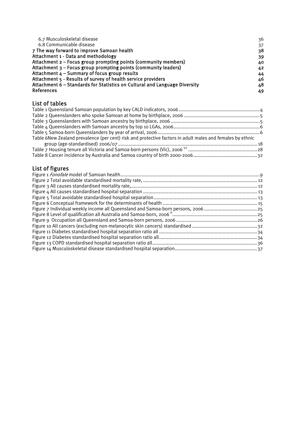| 6.7 Musculoskeletal disease                                                | 36 |
|----------------------------------------------------------------------------|----|
| 6.8 Communicable disease                                                   | 37 |
| 7 The way forward to improve Samoan health                                 | 38 |
| Attachment 1 - Data and methodology                                        | 39 |
| Attachment 2 – Focus group prompting points (community members)            | 40 |
| Attachment 3 – Focus group prompting points (community leaders)            | 42 |
| Attachment 4 - Summary of focus group results                              | 44 |
| Attachment 5 - Results of survey of health service providers               | 46 |
| Attachment 6 – Standards for Statistics on Cultural and Language Diversity | 48 |
| <b>References</b>                                                          | 49 |

#### List of tables

| Table 6New Zealand prevalence (per cent) risk and protective factors in adult males and females by ethnic |  |
|-----------------------------------------------------------------------------------------------------------|--|
|                                                                                                           |  |
|                                                                                                           |  |
|                                                                                                           |  |
|                                                                                                           |  |

# List of figures

 $\sim$  14  $\sim$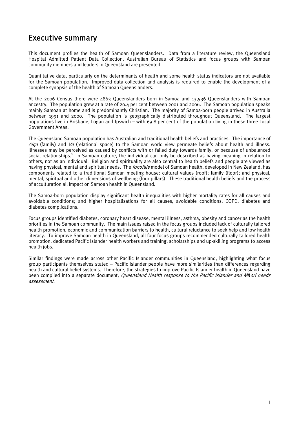# Executive summary

This document profiles the health of Samoan Queenslanders. Data from a literature review, the Queensland Hospital Admitted Patient Data Collection, Australian Bureau of Statistics and focus groups with Samoan community members and leaders in Queensland are presented.

Quantitative data, particularly on the determinants of health and some health status indicators are not available for the Samoan population. Improved data collection and analysis is required to enable the development of a complete synopsis of the health of Samoan Queenslanders.

At the 2006 Census there were 4863 Queenslanders born in Samoa and 13,536 Queenslanders with Samoan ancestry. The population grew at a rate of 20.4 per cent between 2001 and 2006. The Samoan population speaks mainly Samoan at home and is predominantly Christian. The majority of Samoa-born people arrived in Australia between 1991 and 2000. The population is geographically distributed throughout Queensland. The largest populations live in Brisbane, Logan and Ipswich – with 69.8 per cent of the population living in these three Local Government Areas.

The Queensland Samoan population has Australian and traditional health beliefs and practices. The importance of Aiga (family) and Va (relational space) to the Samoan world view permeate beliefs about health and illness. Illnesses may be perceived as caused by conflicts with or failed duty towards family, or because of unbalanced social relationships.<sup>1</sup> In Samoan culture, the individual can only be described as having meaning in relation to others, not as an individual. Religion and spirituality are also central to health beliefs and people are viewed as having physical, mental and spiritual needs. The *fonofale* model of Samoan health, developed in New Zealand, has components related to a traditional Samoan meeting house: cultural values (roof); family (floor); and physical, mental, spiritual and other dimensions of wellbeing (four pillars). These traditional health beliefs and the process of acculturation all impact on Samoan health in Queensland.

The Samoa-born population display significant health inequalities with higher mortality rates for all causes and avoidable conditions; and higher hospitalisations for all causes, avoidable conditions, COPD, diabetes and diabetes complications.

Focus groups identified diabetes, coronary heart disease, mental illness, asthma, obesity and cancer as the health priorities in the Samoan community. The main issues raised in the focus groups included lack of culturally tailored health promotion, economic and communication barriers to health, cultural reluctance to seek help and low health literacy. To improve Samoan health in Queensland, all four focus groups recommended culturally tailored health promotion, dedicated Pacific Islander health workers and training, scholarships and up-skilling programs to access health jobs.

Similar findings were made across other Pacific Islander communities in Queensland, highlighting what focus group participants themselves stated – Pacific Islander people have more similarities than differences regarding health and cultural belief systems. Therefore, the strategies to improve Pacific Islander health in Queensland have been compiled into a separate document, Queensland Health response to the Pacific Islander and M*ā*ori needs assessment.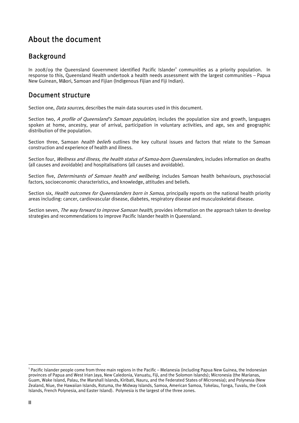# About the document

# Background

In 2008/09 the Queensland Government identified Pacific Islander<sup>1</sup> communities as a priority population. In response to this, Queensland Health undertook a health needs assessment with the largest communities – Papua New Guinean, Māori, Samoan and Fijian (Indigenous Fijian and Fiji Indian).

# Document structure

Section one, *Data sources*, describes the main data sources used in this document.

Section two, A profile of Queensland's Samoan population, includes the population size and growth, languages spoken at home, ancestry, year of arrival, participation in voluntary activities, and age, sex and geographic distribution of the population.

Section three, Samoan *health beliefs* outlines the key cultural issues and factors that relate to the Samoan construction and experience of health and illness.

Section four, *Wellness and illness, the health status of Samoa-born Queenslanders*, includes information on deaths (all causes and avoidable) and hospitalisations (all causes and avoidable).

Section five, *Determinants of Samoan health and wellbeing*, includes Samoan health behaviours, psychosocial factors, socioeconomic characteristics, and knowledge, attitudes and beliefs.

Section six, *Health outcomes for Queenslanders born in Samoa*, principally reports on the national health priority areas including: cancer, cardiovascular disease, diabetes, respiratory disease and musculoskeletal disease.

Section seven, The way forward to improve Samoan health, provides information on the approach taken to develop strategies and recommendations to improve Pacific Islander health in Queensland.

 $\overline{a}$ 

 $^{\rm 1}$  Pacific Islander people come from three main regions in the Pacific – Melanesia (including Papua New Guinea, the Indonesian provinces of Papua and West Irian Jaya, New Caledonia, Vanuatu, Fiji, and the Solomon Islands); Micronesia (the Marianas, Guam, Wake Island, Palau, the Marshall Islands, Kiribati, Nauru, and the Federated States of Micronesia); and Polynesia (New Zealand, Niue, the Hawaiian Islands, Rotuma, the Midway Islands, Samoa, American Samoa, Tokelau, Tonga, Tuvalu, the Cook Islands, French Polynesia, and Easter Island). Polynesia is the largest of the three zones.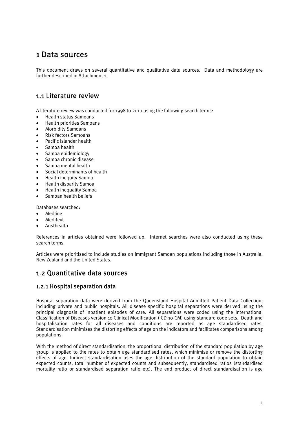# 1 Data sources

This document draws on several quantitative and qualitative data sources. Data and methodology are further described in Attachment 1.

# 1.1 Literature review

A literature review was conducted for 1998 to 2010 using the following search terms:

- Health status Samoans
- Health priorities Samoans
- Morbidity Samoans
- Risk factors Samoans
- Pacific Islander health
- Samoa health
- Samoa epidemiology
- Samoa chronic disease
- Samoa mental health
- Social determinants of health
- Health inequity Samoa
- Health disparity Samoa
- Health inequality Samoa
- Samoan health beliefs

Databases searched:

- Medline
- **Meditext**
- Austhealth

References in articles obtained were followed up. Internet searches were also conducted using these search terms.

Articles were prioritised to include studies on immigrant Samoan populations including those in Australia, New Zealand and the United States.

## 1.2 Quantitative data sources

## 1.2.1 Hospital separation data

Hospital separation data were derived from the Queensland Hospital Admitted Patient Data Collection, including private and public hospitals. All disease specific hospital separations were derived using the principal diagnosis of inpatient episodes of care. All separations were coded using the International Classification of Diseases version 10 Clinical Modification (ICD-10-CM) using standard code sets. Death and hospitalisation rates for all diseases and conditions are reported as age standardised rates. Standardisation minimises the distorting effects of age on the indicators and facilitates comparisons among populations.

With the method of direct standardisation, the proportional distribution of the standard population by age group is applied to the rates to obtain age standardised rates, which minimise or remove the distorting effects of age. Indirect standardisation uses the age distribution of the standard population to obtain expected counts, total number of expected counts and subsequently, standardised ratios (standardised mortality ratio or standardised separation ratio etc). The end product of direct standardisation is age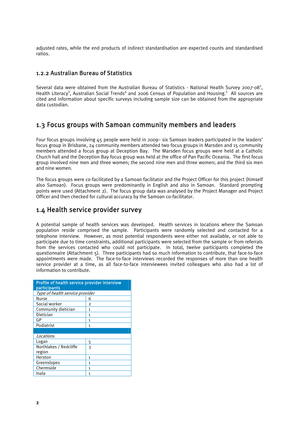adjusted rates, while the end products of indirect standardisation are expected counts and standardised ratios.

## 1.2.2 Australian Bureau of Statistics

Several data were obtained from the Australian Bureau of Statistics - National Health Survey 2007-08<sup>2</sup>, Health Literacy<sup>3</sup>, Australian Social Trends<sup>4</sup> and 2006 Census of Population and Housing.<sup>5</sup> All sources are cited and information about specific surveys including sample size can be obtained from the appropriate data custodian.

## 1.3 Focus groups with Samoan community members and leaders

Four focus groups involving 45 people were held in 2009– six Samoan leaders participated in the leaders' focus group in Brisbane, 24 community members attended two focus groups in Marsden and 15 community members attended a focus group at Deception Bay. The Marsden focus groups were held at a Catholic Church hall and the Deception Bay focus group was held at the office of Pan Pacific Oceania. The first focus group involved nine men and three women; the second nine men and three women; and the third six men and nine women.

The focus groups were co-facilitated by a Samoan facilitator and the Project Officer for this project (himself also Samoan). Focus groups were predominantly in English and also in Samoan. Standard prompting points were used (Attachment 2). The focus group data was analysed by the Project Manager and Project Officer and then checked for cultural accuracy by the Samoan co-facilitator.

## 1.4 Health service provider survey

A potential sample of health services was developed. Health services in locations where the Samoan population reside comprised the sample. Participants were randomly selected and contacted for a telephone interview. However, as most potential respondents were either not available, or not able to participate due to time constraints, additional participants were selected from the sample or from referrals from the services contacted who could not participate. In total, twelve participants completed the questionnaire (Attachment 5). Three participants had so much information to contribute, that face-to-face appointments were made. The face-to-face interviews recorded the responses of more than one health service provider at a time, as all face-to-face interviewees invited colleagues who also had a lot of information to contribute.

| Profile of health service provider interview<br>participants |   |
|--------------------------------------------------------------|---|
| Type of health service provider                              |   |
| Nurse                                                        | 6 |
| Social worker                                                | 2 |
| Community dietician                                          | 1 |
| Dietician                                                    | 1 |
| GP                                                           | 1 |
| Podiatrist                                                   | 1 |
|                                                              |   |
| Locations                                                    |   |
| Logan                                                        | 5 |
| Northlakes / Redcliffe                                       | 3 |
| region                                                       |   |
| Herston                                                      | 1 |
| Greenslopes                                                  | 1 |
| Chermside                                                    | 1 |
| Inala                                                        | 1 |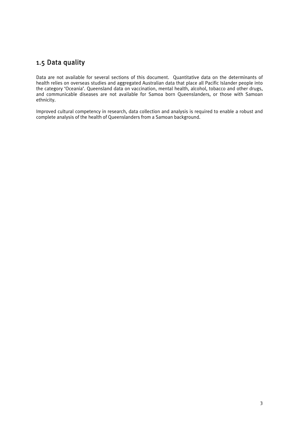# 1.5 Data quality

Data are not available for several sections of this document. Quantitative data on the determinants of health relies on overseas studies and aggregated Australian data that place all Pacific Islander people into the category 'Oceania'. Queensland data on vaccination, mental health, alcohol, tobacco and other drugs, and communicable diseases are not available for Samoa born Queenslanders, or those with Samoan ethnicity.

Improved cultural competency in research, data collection and analysis is required to enable a robust and complete analysis of the health of Queenslanders from a Samoan background.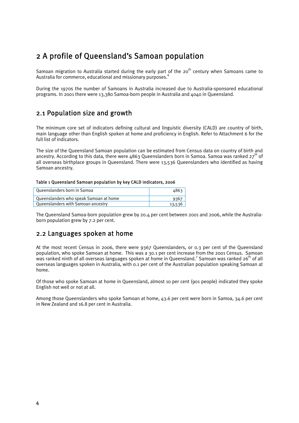# 2 A profile of Queensland's Samoan population

Samoan migration to Australia started during the early part of the 20<sup>th</sup> century when Samoans came to Australia for commerce, educational and missionary purposes.<sup>6</sup>

During the 1970s the number of Samoans in Australia increased due to Australia-sponsored educational programs. In 2001 there were 13,380 Samoa-born people in Australia and 4040 in Queensland.

# 2.1 Population size and growth

The minimum core set of indicators defining cultural and linguistic diversity (CALD) are country of birth, main language other than English spoken at home and proficiency in English. Refer to Attachment 6 for the full list of indicators.

The size of the Queensland Samoan population can be estimated from Census data on country of birth and ancestry. According to this data, there were 4863 Queenslanders born in Samoa. Samoa was ranked  $27^{\text{th}}$  of all overseas birthplace groups in Queensland. There were 13,536 Queenslanders who identified as having Samoan ancestry.

#### Table 1 Queensland Samoan population by key CALD indicators, 2006

| Queenslanders born in Samoa            | 4863   |
|----------------------------------------|--------|
| Queenslanders who speak Samoan at home | 936    |
| Queenslanders with Samoan ancestry     | 13,536 |

The Queensland Samoa-born population grew by 20.4 per cent between 2001 and 2006, while the Australiaborn population grew by 7.2 per cent.

## 2.2 Languages spoken at home

At the most recent Census in 2006, there were 9367 Queenslanders, or 0.3 per cent of the Queensland population, who spoke Samoan at home. This was a 30.1 per cent increase from the 2001 Census. Samoan was ranked ninth of all overseas languages spoken at home in Queensland.<sup>7</sup> Samoan was ranked 26<sup>th</sup> of all overseas languages spoken in Australia, with 0.1 per cent of the Australian population speaking Samoan at home.

Of those who spoke Samoan at home in Queensland, almost 10 per cent (901 people) indicated they spoke English not well or not at all.

Among those Queenslanders who spoke Samoan at home, 43.6 per cent were born in Samoa, 34.6 per cent in New Zealand and 16.8 per cent in Australia.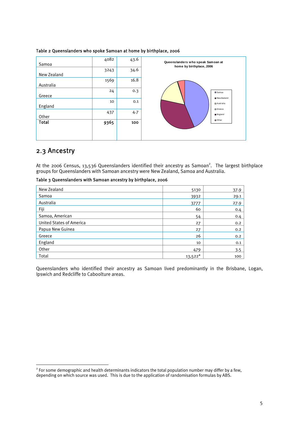

#### Table 2 Queenslanders who spoke Samoan at home by birthplace, 2006

## 2.3 Ancestry

1

At the 2006 Census, 13,536 Queenslanders identified their ancestry as Samoan<sup>2</sup>. The largest birthplace groups for Queenslanders with Samoan ancestry were New Zealand, Samoa and Australia.

| New Zealand                     | 5130      | 37.9 |
|---------------------------------|-----------|------|
| Samoa                           | 3932      | 29.1 |
| Australia                       | 3777      | 27.9 |
| Fiji                            | 60        | 0.4  |
| Samoa, American                 | 54        | 0.4  |
| <b>United States of America</b> | 27        | 0.2  |
| Papua New Guinea                | 27        | 0.2  |
| Greece                          | 26        | 0.2  |
| England                         | 10        | 0.1  |
| Other                           | 479       | 3.5  |
| Total                           | $13,522*$ | 100  |

| Table 3 Queenslanders with Samoan ancestry by birthplace, 2006 |  |  |
|----------------------------------------------------------------|--|--|
|                                                                |  |  |

Queenslanders who identified their ancestry as Samoan lived predominantly in the Brisbane, Logan, Ipswich and Redcliffe to Caboolture areas.

 $2^{2}$  For some demographic and health determinants indicators the total population number may differ by a few, depending on which source was used. This is due to the application of randomisation formulas by ABS.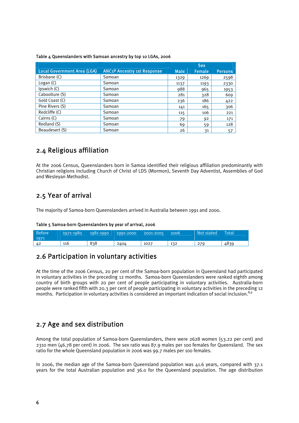|                                    |                                               |             | <b>Sex</b>    |                |
|------------------------------------|-----------------------------------------------|-------------|---------------|----------------|
| <b>Local Government Area (LGA)</b> | <b>ANC<sub>1</sub>P Ancestry 1st Response</b> | <b>Male</b> | <b>Female</b> | <b>Persons</b> |
| Brisbane (C)                       | Samoan                                        | 1329        | 1269          | 2598           |
| Logan $(C)$                        | Samoan                                        | 1137        | 1193          | 2330           |
| Ipswich (C)                        | Samoan                                        | 988         | 965           | 1953           |
| Caboolture (S)                     | Samoan                                        | 281         | 328           | 609            |
| Gold Coast (C)                     | Samoan                                        | 236         | 186           | 422            |
| Pine Rivers (S)                    | Samoan                                        | 141         | 165           | 306            |
| Redcliffe (C)                      | Samoan                                        | 115         | 106           | 221            |
| Cairns (C)                         | Samoan                                        | 79          | 92            | 171            |
| Redland (S)                        | Samoan                                        | 69          | 59            | 128            |
| Beaudesert (S)                     | Samoan                                        | 26          | 31            | 57             |

#### Table 4 Queenslanders with Samoan ancestry by top 10 LGAs, 2006

# 2.4 Religious affiliation

At the 2006 Census, Queenslanders born in Samoa identified their religious affiliation predominantly with Christian religions including Church of Christ of LDS (Mormon), Seventh Day Adventist, Assemblies of God and Wesleyan Methodist.

# 2.5 Year of arrival

The majority of Samoa-born Queenslanders arrived in Australia between 1991 and 2000.

|  |  | Table 5 Samoa-born Queenslanders by year of arrival, 2006 |  |  |  |
|--|--|-----------------------------------------------------------|--|--|--|
|--|--|-----------------------------------------------------------|--|--|--|

| <b>Before</b><br>1971 | 1971-1980 | 1981-1990 | 1991-2000 | 2001-2005 | 2006 | Not stated | <b>Total</b> |
|-----------------------|-----------|-----------|-----------|-----------|------|------------|--------------|
| 42                    | 116       | 838       | 2404      | 1027      | 132  | 279        | 4839         |

# 2.6 Participation in voluntary activities

At the time of the 2006 Census, 20 per cent of the Samoa-born population in Queensland had participated in voluntary activities in the preceding 12 months. Samoa-born Queenslanders were ranked eighth among country of birth groups with 20 per cent of people participating in voluntary activities. Australia-born people were ranked fifth with 20.3 per cent of people participating in voluntary activities in the preceding 12 months. Participation in voluntary activities is considered an important indication of social inclusion.<sup>8,9</sup>

# 2.7 Age and sex distribution

Among the total population of Samoa-born Queenslanders, there were 2628 women (53.22 per cent) and 2310 men (46.78 per cent) in 2006. The sex ratio was 87.9 males per 100 females for Queensland. The sex ratio for the whole Queensland population in 2006 was 99.7 males per 100 females.

In 2006, the median age of the Samoa-born Queensland population was 41.6 years, compared with 37.1 years for the total Australian population and 36.0 for the Queensland population. The age distribution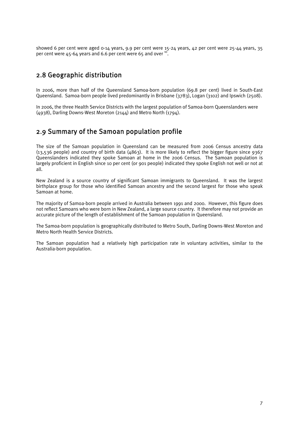showed 6 per cent were aged 0-14 years, 9.9 per cent were 15-24 years, 42 per cent were 25-44 years, 35 per cent were  $45-64$  years and 6.6 per cent were 65 and over  $^{10}$ .

# 2.8 Geographic distribution

In 2006, more than half of the Queensland Samoa-born population (69.8 per cent) lived in South-East Queensland. Samoa-born people lived predominantly in Brisbane (3783), Logan (3102) and Ipswich (2508).

In 2006, the three Health Service Districts with the largest population of Samoa-born Queenslanders were (4938), Darling Downs-West Moreton (2144) and Metro North (1794).

# 2.9 Summary of the Samoan population profile

The size of the Samoan population in Queensland can be measured from 2006 Census ancestry data  $(13,536$  people) and country of birth data  $(4863)$ . It is more likely to reflect the bigger figure since 9367 Queenslanders indicated they spoke Samoan at home in the 2006 Census. The Samoan population is largely proficient in English since 10 per cent (or 901 people) indicated they spoke English not well or not at all.

New Zealand is a source country of significant Samoan immigrants to Queensland. It was the largest birthplace group for those who identified Samoan ancestry and the second largest for those who speak Samoan at home.

The majority of Samoa-born people arrived in Australia between 1991 and 2000. However, this figure does not reflect Samoans who were born in New Zealand, a large source country. It therefore may not provide an accurate picture of the length of establishment of the Samoan population in Queensland.

The Samoa-born population is geographically distributed to Metro South, Darling Downs-West Moreton and Metro North Health Service Districts.

The Samoan population had a relatively high participation rate in voluntary activities, similar to the Australia-born population.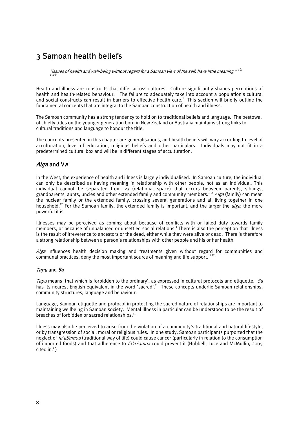# 3 Samoan health beliefs

"issues of health and well-being without regard for a Samoan view of the self, have little meaning." <sup>(p.</sup><br>1343)

Health and illness are constructs that differ across cultures. Culture significantly shapes perceptions of health and health-related behaviour. The failure to adequately take into account a population's cultural and social constructs can result in barriers to effective health care.<sup>1</sup> This section will briefly outline the fundamental concepts that are integral to the Samoan construction of health and illness.

The Samoan community has a strong tendency to hold on to traditional beliefs and language. The bestowal of chiefly titles on the younger generation born in New Zealand or Australia maintains strong links to cultural traditions and language to honour the title.

The concepts presented in this chapter are generalisations, and health beliefs will vary according to level of acculturation, level of education, religious beliefs and other particulars. Individuals may not fit in a predetermined cultural box and will be in different stages of acculturation.

## Aiga and V<sup>a</sup>

In the West, the experience of health and illness is largely individualised. In Samoan culture, the individual can only be described as having meaning in relationship with other people, not as an individual. This individual cannot be separated from  $v_a$  (relational space) that occurs between parents, siblings, grandparents, aunts, uncles and other extended family and community members.<sup>1,11</sup> Aiga (family) can mean the nuclear family or the extended family, crossing several generations and all living together in one household.<sup>12</sup> For the Samoan family, the extended family is important, and the larger the *aiga*, the more powerful it is.

Illnesses may be perceived as coming about because of conflicts with or failed duty towards family members, or because of unbalanced or unsettled social relations.<sup>1</sup> There is also the perception that illness is the result of irreverence to ancestors or the dead, either while they were alive or dead. There is therefore a strong relationship between a person's relationships with other people and his or her health.

Aiga influences health decision making and treatments given without regard for communities and communal practices, deny the most important source of meaning and life support.<sup>11,12</sup>

#### Tapu and Sa

Tapu means 'that which is forbidden to the ordinary', as expressed in cultural protocols and etiquette. Sa has its nearest English equivalent in the word 'sacred'.<sup>11</sup> These concepts underlie Samoan relationships, community structures, language and behaviour.

Language, Samoan etiquette and protocol in protecting the sacred nature of relationships are important to maintaining wellbeing in Samoan society. Mental illness in particular can be understood to be the result of breaches of forbidden or sacred relationships.<sup>11</sup>

Illness may also be perceived to arise from the violation of a community's traditional and natural lifestyle, or by transgression of social, moral or religious rules. In one study, Samoan participants purported that the neglect of *fa'aSamoa* (traditional way of life) could cause cancer (particularly in relation to the consumption of imported foods) and that adherence to *fa'aSamoa* could prevent it (Hubbell, Luce and McMullin, 2005  $\text{cited in.}^1$ )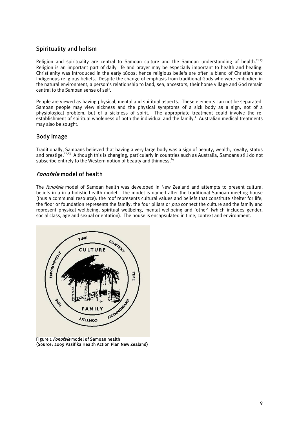## Spirituality and holism

Religion and spirituality are central to Samoan culture and the Samoan understanding of health.<sup>11-13</sup> Religion is an important part of daily life and prayer may be especially important to health and healing. Christianity was introduced in the early 1800s; hence religious beliefs are often a blend of Christian and Indigenous religious beliefs. Despite the change of emphasis from traditional Gods who were embodied in the natural environment, a person's relationship to land, sea, ancestors, their home village and God remain central to the Samoan sense of self.

People are viewed as having physical, mental and spiritual aspects. These elements can not be separated. Samoan people may view sickness and the physical symptoms of a sick body as a sign, not of a physiological problem, but of a sickness of spirit. The appropriate treatment could involve the re- $\epsilon$  establishment of spiritual wholeness of both the individual and the family.<sup>1</sup> Australian medical treatments may also be sought.

## Body image

Traditionally, Samoans believed that having a very large body was a sign of beauty, wealth, royalty, status and prestige.12,13 Although this is changing, particularly in countries such as Australia, Samoans still do not subscribe entirely to the Western notion of beauty and thinness.<sup>14</sup>

## Fonofale model of health

The *fonofale* model of Samoan health was developed in New Zealand and attempts to present cultural beliefs in a in a holistic health model. The model is named after the traditional Samoan meeting house (thus a communal resource): the roof represents cultural values and beliefs that constitute shelter for life; the floor or foundation represents the family; the four pillars or pou connect the culture and the family and represent physical wellbeing, spiritual wellbeing, mental wellbeing and 'other' (which includes gender, social class, age and sexual orientation). The house is encapsulated in time, context and environment.



Figure 1 Fonofale model of Samoan health (Source: 2009 Pasifika Health Action Plan New Zealand)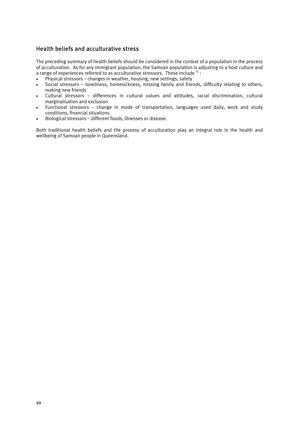## Health beliefs and acculturative stress

The preceding summary of health beliefs should be considered in the context of a population in the process of acculturation. As for any immigrant population, the Samoan population is adjusting to a host culture and a range of experiences referred to as acculturative stressors. These include  $^{15}$ :

- Physical stressors changes in weather, housing, new settings, safety
- Social stressors loneliness, homesickness, missing family and friends, difficulty relating to others, making new friends
- Cultural stressors differences in cultural values and attitudes, racial discrimination, cultural marginalisation and exclusion
- Functional stressors change in mode of transportation, languages used daily, work and study conditions, financial situations
- Biological stressors different foods, illnesses or disease.

Both traditional health beliefs and the process of acculturation play an integral role in the health and wellbeing of Samoan people in Queensland.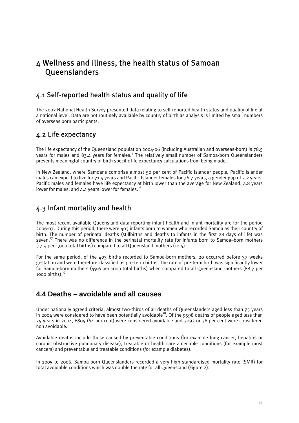# 4 Wellness and illness, the health status of Samoan **Oueenslanders**

# 4.1 Self-reported health status and quality of life

The 2007 National Health Survey presented data relating to self-reported health status and quality of life at a national level. Data are not routinely available by country of birth as analysis is limited by small numbers of overseas born participants.

# 4.2 Life expectancy

The life expectancy of the Queensland population 2004-06 (including Australian and overseas-born) is 78.5 years for males and 83.4 years for females.<sup>4</sup> The relatively small number of Samoa-born Queenslanders prevents meaningful country of birth specific life expectancy calculations from being made.

In New Zealand, where Samoans comprise almost 50 per cent of Pacific Islander people, Pacific Islander males can expect to live for 71.5 years and Pacific Islander females for 76.7 years, a gender gap of 5.2 years. Pacific males and females have life expectancy at birth lower than the average for New Zealand: 4.8 years lower for males, and 4.4 years lower for females.<sup>1</sup>

# 4.3 Infant mortality and health

The most recent available Queensland data reporting infant health and infant mortality are for the period 2006-07. During this period, there were 403 infants born to women who recorded Samoa as their country of birth. The number of perinatal deaths (stillbirths and deaths to infants in the first 28 days of life) was seven.<sup>17</sup> There was no difference in the perinatal mortality rate for infants born to Samoa–born mothers (17.4 per 1,000 total births) compared to all Queensland mothers (10.5).

For the same period, of the 403 births recorded to Samoa-born mothers, 20 occurred before 37 weeks gestation and were therefore classified as pre-term births. The rate of pre-term birth was significantly lower for Samoa-born mothers (49.6 per 1000 total births) when compared to all Queensland mothers (88.7 per 1000 births) $<sup>17</sup>$ </sup>

# **4.4 Deaths – avoidable and all causes**

Under nationally agreed criteria, almost two-thirds of all deaths of Queenslanders aged less than 75 years in 2004 were considered to have been potentially avoidable<sup>18</sup>. Of the 9598 deaths of people aged less than 75 years in 2004, 6805 (64 per cent) were considered avoidable and 3092 or 36 per cent were considered non avoidable.

Avoidable deaths include those caused by preventable conditions (for example lung cancer, hepatitis or chronic obstructive pulmonary disease), treatable or health care amenable conditions (for example most cancers) and preventable and treatable conditions (for example diabetes).

In 2005 to 2006, Samoa-born Queenslanders recorded a very high standardised mortality rate (SMR) for total avoidable conditions which was double the rate for all Queensland (Figure 2).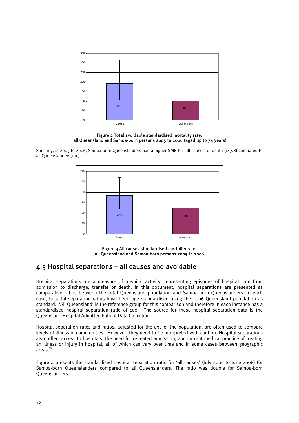

Figure 2 Total avoidable standardised mortality rate, all Queensland and Samoa-born persons 2005 to 2006 (aged up to 74 years)

Similarly, in 2005 to 2006, Samoa-born Queenslanders had a higher SMR for 'all causes' of death (147.8) compared to all Queenslanders(100).



Figure 3 All causes standardised mortality rate, all Queensland and Samoa-born persons 2005 to 2006

# 4.5 Hospital separations – all causes and avoidable

Hospital separations are a measure of hospital activity, representing episodes of hospital care from admission to discharge, transfer or death. In this document, hospital separations are presented as comparative ratios between the total Queensland population and Samoa-born Queenslanders. In each case, hospital separation ratios have been age standardised using the 2006 Queensland population as standard. 'All Queensland' is the reference group for this comparison and therefore in each instance has a standardised hospital separation ratio of 100. The source for these hospital separation data is the Queensland Hospital Admitted Patient Data Collection.

Hospital separation rates and ratios, adjusted for the age of the population, are often used to compare levels of illness in communities. However, they need to be interpreted with caution. Hospital separations also reflect access to hospitals, the need for repeated admission, and current medical practice of treating an illness or injury in hospital, all of which can vary over time and in some cases between geographic areas.19

Figure 4 presents the standardised hospital separation ratio for 'all causes' (July 2006 to June 2008) for Samoa-born Queenslanders compared to all Queenslanders. The ratio was double for Samoa-born Queenslanders.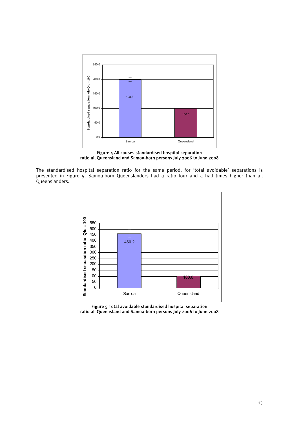

Figure 4 All causes standardised hospital separation ratio all Queensland and Samoa-born persons July 2006 to June 2008

The standardised hospital separation ratio for the same period, for 'total avoidable' separations is presented in Figure 5. Samoa-born Queenslanders had a ratio four and a half times higher than all Queenslanders.



Figure 5 Total avoidable standardised hospital separation ratio all Queensland and Samoa-born persons July 2006 to June 2008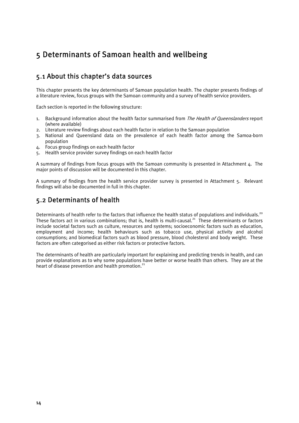# 5 Determinants of Samoan health and wellbeing

# 5.1 About this chapter's data sources

This chapter presents the key determinants of Samoan population health. The chapter presents findings of a literature review, focus groups with the Samoan community and a survey of health service providers.

Each section is reported in the following structure:

- 1. Background information about the health factor summarised from The Health of Queenslanders report (where available)
- 2. Literature review findings about each health factor in relation to the Samoan population
- 3. National and Queensland data on the prevalence of each health factor among the Samoa-born population
- 4. Focus group findings on each health factor
- 5. Health service provider survey findings on each health factor

A summary of findings from focus groups with the Samoan community is presented in Attachment  $\Delta$ . The major points of discussion will be documented in this chapter.

A summary of findings from the health service provider survey is presented in Attachment 5. Relevant findings will also be documented in full in this chapter.

# 5.2 Determinants of health

Determinants of health refer to the factors that influence the health status of populations and individuals.<sup>20</sup> These factors act in various combinations; that is, health is multi-causal.<sup>21</sup> These determinants or factors include societal factors such as culture, resources and systems; socioeconomic factors such as education, employment and income; health behaviours such as tobacco use, physical activity and alcohol consumptions; and biomedical factors such as blood pressure, blood cholesterol and body weight. These factors are often categorised as either risk factors or protective factors.

The determinants of health are particularly important for explaining and predicting trends in health, and can provide explanations as to why some populations have better or worse health than others. They are at the heart of disease prevention and health promotion.<sup>21</sup>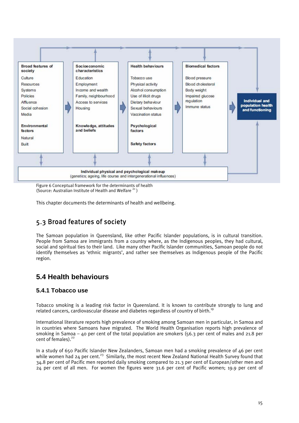

Figure 6 Conceptual framework for the determinants of health (Source: Australian Institute of Health and Welfare  $^{21}$ )

This chapter documents the determinants of health and wellbeing.

# 5.3 Broad features of society

The Samoan population in Queensland, like other Pacific Islander populations, is in cultural transition. People from Samoa are immigrants from a country where, as the Indigenous peoples, they had cultural, social and spiritual ties to their land. Like many other Pacific Islander communities, Samoan people do not identify themselves as 'ethnic migrants', and rather see themselves as Indigenous people of the Pacific region.

# **5.4 Health behaviours**

## **5.4.1 Tobacco use**

Tobacco smoking is a leading risk factor in Queensland. It is known to contribute strongly to lung and related cancers, cardiovascular disease and diabetes regardless of country of birth.<sup>19</sup>

International literature reports high prevalence of smoking among Samoan men in particular, in Samoa and in countries where Samoans have migrated. The World Health Organisation reports high prevalence of smoking in Samoa – 40 per cent of the total population are smokers (56.3 per cent of males and 21.8 per cent of females). $22$ 

In a study of 650 Pacific Islander New Zealanders, Samoan men had a smoking prevalence of 46 per cent while women had 24 per cent.<sup>23</sup> Similarly, the most recent New Zealand National Health Survey found that 34.8 per cent of Pacific men reported daily smoking compared to 21.3 per cent of European/other men and 24 per cent of all men. For women the figures were 31.6 per cent of Pacific women; 19.9 per cent of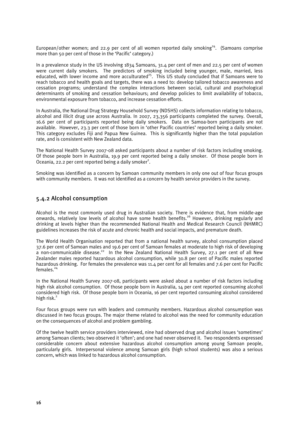European/other women; and 22.9 per cent of all women reported daily smoking<sup>24</sup>. (Samoans comprise more than 50 per cent of those in the 'Pacific' category.)

In a prevalence study in the US involving 1834 Samoans, 31.4 per cent of men and 22.5 per cent of women were current daily smokers. The predictors of smoking included being younger, male, married, less educated, with lower income and more acculturated<sup>25</sup>. This US study concluded that if Samoans were to reach tobacco and health goals and targets, there was a need to: develop tailored tobacco awareness and cessation programs; understand the complex interactions between social, cultural and psychological determinants of smoking and cessation behaviours; and develop policies to limit availability of tobacco, environmental exposure from tobacco, and increase cessation efforts.

In Australia, the National Drug Strategy Household Survey (NDSHS) collects information relating to tobacco, alcohol and illicit drug use across Australia. In 2007, 23,356 participants completed the survey. Overall, 16.6 per cent of participants reported being daily smokers. Data on Samoa-born participants are not available. However, 23.3 per cent of those born in 'other Pacific countries' reported being a daily smoker. This category excludes Fiji and Papua New Guinea. This is significantly higher than the total population rate, and is consistent with New Zealand data.

The National Health Survey 2007-08 asked participants about a number of risk factors including smoking. Of those people born in Australia, 19.9 per cent reported being a daily smoker. Of those people born in Oceania, 22.2 per cent reported being a daily smoker<sup>2</sup>.

Smoking was identified as a concern by Samoan community members in only one out of four focus groups with community members. It was not identified as a concern by health service providers in the survey.

## 5.4.2 Alcohol consumption

Alcohol is the most commonly used drug in Australian society. There is evidence that, from middle-age onwards, relatively low levels of alcohol have some health benefits.<sup>26</sup> However, drinking regularly and drinking at levels higher than the recommended National Health and Medical Research Council (NHMRC) guidelines increases the risk of acute and chronic health and social impacts, and premature death.

The World Health Organisation reported that from a national health survey, alcohol consumption placed 37.6 per cent of Samoan males and 19.6 per cent of Samoan females at moderate to high risk of developing a non-communicable disease.<sup>22</sup> In the New Zealand National Health Survey, 27.1 per cent of all New Zealander males reported hazardous alcohol consumption, while 30.8 per cent of Pacific males reported hazardous drinking. For females the prevalence was 11.4 per cent for all females and 7.6 per cent for Pacific females.<sup>24</sup>

In the National Health Survey 2007-08, participants were asked about a number of risk factors including high risk alcohol consumption. Of those people born in Australia, 14 per cent reported consuming alcohol considered high risk. Of those people born in Oceania, 16 per cent reported consuming alcohol considered high risk.<sup>2</sup>

Four focus groups were run with leaders and community members. Hazardous alcohol consumption was discussed in two focus groups. The major theme related to alcohol was the need for community education on the consequences of alcohol and problem gambling.

Of the twelve health service providers interviewed, nine had observed drug and alcohol issues 'sometimes' among Samoan clients; two observed it 'often'; and one had never observed it. Two respondents expressed considerable concern about extensive hazardous alcohol consumption among young Samoan people, particularly girls. Interpersonal violence among Samoan girls (high school students) was also a serious concern, which was linked to hazardous alcohol consumption.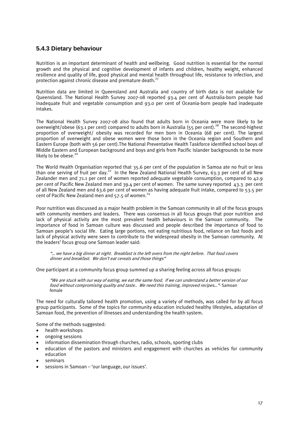## **5.4.3 Dietary behaviour**

Nutrition is an important determinant of health and wellbeing. Good nutrition is essential for the normal growth and the physical and cognitive development of infants and children, healthy weight, enhanced resilience and quality of life, good physical and mental health throughout life, resistance to infection, and protection against chronic disease and premature death.<sup>27</sup>

Nutrition data are limited in Queensland and Australia and country of birth data is not available for Queensland. The National Health Survey 2007-08 reported 93.4 per cent of Australia-born people had inadequate fruit and vegetable consumption and 93.0 per cent of Oceania-born people had inadequate intakes.

The National Health Survey 2007-08 also found that adults born in Oceania were more likely to be overweight/obese (63.1 per cent) compared to adults born in Australia (55 per cent).<sup>28</sup> The second-highest proportion of overweight/ obesity was recorded for men born in Oceania (68 per cent). The largest proportion of overweight and obese women were those born in the Oceania region and Southern and Eastern Europe (both with 56 per cent).The National Preventative Health Taskforce identified school boys of Middle Eastern and European background and boys and girls from Pacific Islander backgrounds to be more likely to be obese.<sup>20</sup>

The World Health Organisation reported that 35.6 per cent of the population in Samoa ate no fruit or less than one serving of fruit per day.<sup>22</sup> In the New Zealand National Health Survey, 63.3 per cent of all New Zealander men and 71.1 per cent of women reported adequate vegetable consumption, compared to 42.9 per cent of Pacific New Zealand men and 39.4 per cent of women. The same survey reported 43.3 per cent of all New Zealand men and 63.6 per cent of women as having adequate fruit intake, compared to 53.5 per cent of Pacific New Zealand men and  $57.5$  of women.<sup>24</sup>

Poor nutrition was discussed as a major health problem in the Samoan community in all of the focus groups with community members and leaders. There was consensus in all focus groups that poor nutrition and lack of physical activity are the most prevalent health behaviours in the Samoan community. The importance of food in Samoan culture was discussed and people described the importance of food to Samoan people's social life. Eating large portions, not eating nutritious food, reliance on fast foods and lack of physical activity were seen to contribute to the widespread obesity in the Samoan community. At the leaders' focus group one Samoan leader said:

"… we have a big dinner at night. Breakfast is the left overs from the night before. That food covers dinner and breakfast. We don't eat cereals and those things"

One participant at a community focus group summed up a sharing feeling across all focus groups:

"We are stuck with our way of eating, we eat the same food. If we can understand a better version of our food without compromising quality and taste.. We need this training, improved recipes…"- Samoan female

The need for culturally tailored health promotion, using a variety of methods, was called for by all focus group participants. Some of the topics for community education included healthy lifestyles, adaptation of Samoan food, the prevention of illnesses and understanding the health system.

Some of the methods suggested:

- health workshops
- ongoing sessions
- information dissemination through churches, radio, schools, sporting clubs
- education of the pastors and ministers and engagement with churches as vehicles for community education
- seminars
- sessions in Samoan 'our language, our issues'.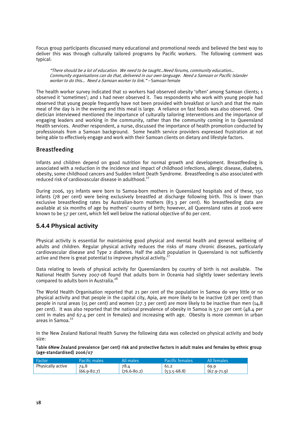Focus group participants discussed many educational and promotional needs and believed the best way to deliver this was through culturally tailored programs by Pacific workers. The following comment was typical:

"There should be a lot of education. We need to be taught…Need forums, community education… Community organisations can do that, delivered in our own language. Need a Samoan or Pacific Islander worker to do this... Need a Samoan worker to link." – Samoan female

The health worker survey indicated that 10 workers had observed obesity 'often' among Samoan clients; 1 observed it 'sometimes'; and 1 had never observed it. Two respondents who work with young people had observed that young people frequently have not been provided with breakfast or lunch and that the main meal of the day is in the evening and this meal is large. A reliance on fast foods was also observed. One dietician interviewed mentioned the importance of culturally tailoring interventions and the importance of engaging leaders and working in the community, rather than the community coming in to Queensland Health services. Another respondent, a nurse, discussed the importance of health promotion conducted by professionals from a Samoan background. Some health service providers expressed frustration at not being able to effectively engage and work with their Samoan clients on dietary and lifestyle factors.

## Breastfeeding

Infants and children depend on good nutrition for normal growth and development. Breastfeeding is associated with a reduction in the incidence and impact of childhood infections, allergic disease, diabetes, obesity, some childhood cancers and Sudden Infant Death Syndrome. Breastfeeding is also associated with reduced risk of cardiovascular disease in adulthood.27

During 2006, 193 infants were born to Samoa-born mothers in Queensland hospitals and of these, 150 infants (78 per cent) were being exclusively breastfed at discharge following birth. This is lower than exclusive breastfeeding rates by Australian-born mothers (83.3 per cent). No breastfeeding data are available at six months of age by mothers' country of birth; however, all Queensland rates at 2006 were known to be 57 per cent, which fell well below the national objective of 80 per cent.

## **5.4.4 Physical activity**

Physical activity is essential for maintaining good physical and mental health and general wellbeing of adults and children. Regular physical activity reduces the risks of many chronic diseases, particularly cardiovascular disease and Type 2 diabetes. Half the adult population in Queensland is not sufficiently active and there is great potential to improve physical activity. $\mathbf{2}$ 

Data relating to levels of physical activity for Queenslanders by country of birth is not available. The National Health Survey 2007-08 found that adults born in Oceania had slightly lower sedentary levels compared to adults born in Australia.<sup>28</sup>

The World Health Organisation reported that 21 per cent of the population in Samoa do very little or no physical activity and that people in the capital city, Apia, are more likely to be inactive (28 per cent) than people in rural areas (15 per cent) and women (27.3 per cent) are more likely to be inactive than men (14.8 per cent). It was also reported that the national prevalence of obesity in Samoa is 57.0 per cent (48.4 per cent in males and 67.4 per cent in females) and increasing with age. Obesity is more common in urban areas in Samoa.<sup>22</sup>

In the New Zealand National Health Survey the following data was collected on physical activity and body size:

Table 6New Zealand prevalence (per cent) risk and protective factors in adult males and females by ethnic group (age-standardised) 2006/07

| Factor            | Pacific males   | All males       | Pacific females | <b>All females</b> |
|-------------------|-----------------|-----------------|-----------------|--------------------|
| Physically active | 74.8            | 78.4            | 61.2            | 69.9               |
|                   | $(66.9 - 82.7)$ | $(76.6 - 80.2)$ | $(53.5 - 68.8)$ | $(67.9-71.9)$      |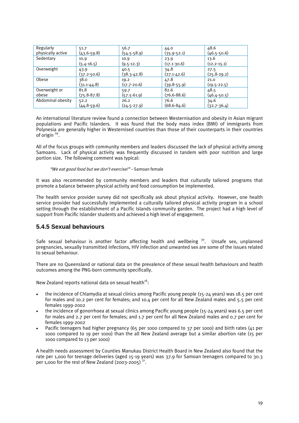| Regularly         | 51.7            | 56.7            | 44.0            | 48.6            |
|-------------------|-----------------|-----------------|-----------------|-----------------|
| physically active | $(43.6 - 59.8)$ | $(54.5 - 58.9)$ | $(35.9 - 52.1)$ | $(46.5 - 50.6)$ |
| Sedentary         | 10.9            | 10.9            | 23.9            | 13.6            |
|                   | $(5.4 - 16.5)$  | $(9.5 - 12.3)$  | $(17.1-30.6)$   | $(12.2 - 15.1)$ |
| Overweight        | 43.9            | 40.5            | 34.8            | 27.5            |
|                   | $(37.2 - 50.6)$ | $(38.3 - 42.8)$ | $(27.1 - 42.6)$ | $(25.8 - 29.2)$ |
| Obese             | 38.0            | 19.2            | 47.8            | 21.0            |
|                   | $(31.1 - 44.8)$ | $(17.7 - 20.6)$ | $(39.8-55.9)$   | $(19.5 - 22.5)$ |
| Overweight or     | 81.8            | 59.7            | 82.6            | 48.5            |
| obese             | $(75.8 - 87.8)$ | $(57.5-61.9)$   | $(76.6 - 88.6)$ | $(46.4 - 50.5)$ |
| Abdominal obesity | 52.2            | 26.2            | 76.6            | 34.6            |
|                   | (44.8-59.6)     | $(24.5 - 27.9)$ | $(68.6 - 84.6)$ | $(32.7-36.4)$   |

An international literature review found a connection between Westernisation and obesity in Asian migrant populations and Pacific Islanders. It was found that the body mass index (BMI) of immigrants from Polynesia are generally higher in Westernised countries than those of their counterparts in their countries of origin  $^{29}$ .

All of the focus groups with community members and leaders discussed the lack of physical activity among Samoans. Lack of physical activity was frequently discussed in tandem with poor nutrition and large portion size. The following comment was typical:

"We eat good food but we don't exercise!" – Samoan female

It was also recommended by community members and leaders that culturally tailored programs that promote a balance between physical activity and food consumption be implemented.

The health service provider survey did not specifically ask about physical activity. However, one health service provider had successfully implemented a culturally tailored physical activity program in a school setting through the establishment of a Pacific Islands community garden. The project had a high level of support from Pacific Islander students and achieved a high level of engagement.

#### **5.4.5 Sexual behaviours**

Safe sexual behaviour is another factor affecting health and wellbeing  $30$ . Unsafe sex, unplanned pregnancies, sexually transmitted infections, HIV infection and unwanted sex are some of the issues related to sexual behaviour.

There are no Queensland or national data on the prevalence of these sexual health behaviours and health outcomes among the PNG-born community specifically.

New Zealand reports national data on sexual health<sup>16</sup>:

- the incidence of Chlamydia at sexual clinics among Pacific young people (15-24 years) was 18.5 per cent for males and 10.2 per cent for females; and 10.4 per cent for all New Zealand males and 5.5 per cent females 1999-2002
- the incidence of gonorrhoea at sexual clinics among Pacific young people (15-24 years) was 6.5 per cent for males and 2.7 per cent for females; and 1.7 per cent for all New Zealand males and 0.7 per cent for females 1999-2002
- Pacific teenagers had higher pregnancy (65 per 1000 compared to 37 per 1000) and birth rates (41 per 1000 compared to 19 per 1000) than the all New Zealand average but a similar abortion rate (15 per 1000 compared to 13 per 1000)

A health needs assessment by Counties Manukau District Health Board in New Zealand also found that the rate per 1,000 for teenage deliveries (aged 15-19 years) was 37.9 for Samoan teenagers compared to 30.3 per 1,000 for the rest of New Zealand (2003-2005)  $31$ .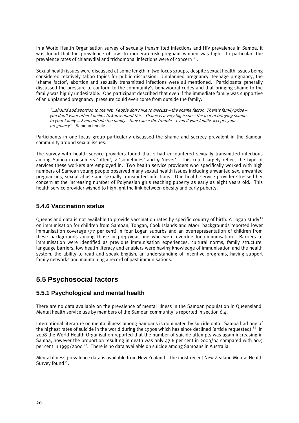In a World Health Organisation survey of sexually transmitted infections and HIV prevalence in Samoa, it was found that the prevalence of low- to moderate-risk pregnant women was high. In particular, the prevalence rates of chlamydial and trichomonal infections were of concern  $32$ .

Sexual health issues were discussed at some length in two focus groups, despite sexual health issues being considered relatively taboo topics for public discussion. Unplanned pregnancy, teenage pregnancy, the 'shame factor', abortion and sexually transmitted infections were all mentioned. Participants generally discussed the pressure to conform to the community's behavioural codes and that bringing shame to the family was highly undesirable. One participant described that even if the immediate family was supportive of an unplanned pregnancy, pressure could even come from outside the family:

"…should add abortion to the list. People don't like to discuss – the shame factor. There's family pride – you don't want other families to know about this. Shame is a very big issue – the fear of bringing shame to your family … Even outside the family – they cause the trouble – even if your family accepts your pregnancy" – Samoan female

Participants in one focus group particularly discussed the shame and secrecy prevalent in the Samoan community around sexual issues.

The survey with health service providers found that 1 had encountered sexually transmitted infections among Samoan consumers 'often', 2 'sometimes' and 9 'never'. This could largely reflect the type of services these workers are employed in. Two health service providers who specifically worked with high numbers of Samoan young people observed many sexual health issues including unwanted sex, unwanted pregnancies, sexual abuse and sexually transmitted infections. One health service provider stressed her concern at the increasing number of Polynesian girls reaching puberty as early as eight years old. This health service provider wished to highlight the link between obesity and early puberty.

#### **5.4.6 Vaccination status**

Queensland data is not available to provide vaccination rates by specific country of birth. A Logan study<sup>33</sup> on immunisation for children from Samoan, Tongan, Cook Islands and Māori backgrounds reported lower immunisation coverage (77 per cent) in four Logan suburbs and an overrepresentation of children from these backgrounds among those in prep/year one who were overdue for immunisation. Barriers to immunisation were identified as previous immunisation experiences, cultural norms, family structure, language barriers, low health literacy and enablers were having knowledge of immunisation and the health system, the ability to read and speak English, an understanding of incentive programs, having support family networks and maintaining a record of past immunisations.

# **5.5 Psychosocial factors**

## **5.5.1 Psychological and mental health**

There are no data available on the prevalence of mental illness in the Samoan population in Queensland. Mental health service use by members of the Samoan community is reported in section 6.4.

International literature on mental illness among Samoans is dominated by suicide data. Samoa had one of the highest rates of suicide in the world during the 1990s which has since declined (article requested).<sup>34</sup> In 2008 the World Health Organisation reported that the number of suicide attempts was again increasing in Samoa, however the proportion resulting in death was only 47.6 per cent in 2003/04 compared with 60.5 per cent in 1999/2000<sup>22</sup>. There is no data available on suicide among Samoans in Australia.

Mental illness prevalence data is available from New Zealand. The most recent New Zealand Mental Health Survey found<sup>35</sup>: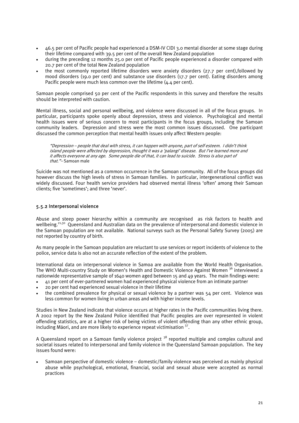- 46.5 per cent of Pacific people had experienced a DSM-IV CIDI 3.0 mental disorder at some stage during their lifetime compared with 39.5 per cent of the overall New Zealand population
- during the preceding 12 months 25.0 per cent of Pacific people experienced a disorder compared with 20.7 per cent of the total New Zealand population
- the most commonly reported lifetime disorders were anxiety disorders (27.7 per cent),followed by mood disorders (19.0 per cent) and substance use disorders (17.7 per cent). Eating disorders among Pacific people were much less common over the lifetime (4.4 per cent).

Samoan people comprised 50 per cent of the Pacific respondents in this survey and therefore the results should be interpreted with caution.

Mental illness, social and personal wellbeing, and violence were discussed in all of the focus groups. In particular, participants spoke openly about depression, stress and violence. Psychological and mental health issues were of serious concern to most participants in the focus groups, including the Samoan community leaders. Depression and stress were the most common issues discussed. One participant discussed the common perception that mental health issues only affect Western people:

"Depression – people that deal with stress, it can happen with anyone, part of self esteem. I didn't think island people were affected by depression, thought it was a 'palangi' disease. But I've learned more and it affects everyone at any age. Some people die of that, it can lead to suicide. Stress is also part of that."-Samoan male

Suicide was not mentioned as a common occurrence in the Samoan community. All of the focus groups did however discuss the high levels of stress in Samoan families. In particular, intergenerational conflict was widely discussed. Four health service providers had observed mental illness 'often' among their Samoan clients; five 'sometimes'; and three 'never'.

#### 5.5.2 Interpersonal violence

Abuse and steep power hierarchy within a community are recognised as risk factors to health and wellbeing.<sup>21,30</sup> Queensland and Australian data on the prevalence of interpersonal and domestic violence in the Samoan population are not available. National surveys such as the Personal Safety Survey (2005) are not reported by country of birth.

As many people in the Samoan population are reluctant to use services or report incidents of violence to the police, service data is also not an accurate reflection of the extent of the problem.

International data on interpersonal violence in Samoa are available from the World Health Organisation. The WHO Multi-country Study on Women's Health and Domestic Violence Against Women <sup>36</sup> interviewed a nationwide representative sample of 1640 women aged between 15 and 49 years. The main findings were:

- 41 per cent of ever-partnered women had experienced physical violence from an intimate partner
- 20 per cent had experienced sexual violence in their lifetime
- the combined prevalence for physical or sexual violence by a partner was 54 per cent. Violence was less common for women living in urban areas and with higher income levels.

Studies in New Zealand indicate that violence occurs at higher rates in the Pacific communities living there. A 2002 report by the New Zealand Police identified that Pacific peoples are over represented in violent offending statistics, are at a higher risk of being victims of violent offending than any other ethnic group, including Māori, and are more likely to experience repeat victimisation  $37$ .

A Queensland report on a Samoan family violence project <sup>38</sup> reported multiple and complex cultural and societal issues related to interpersonal and family violence in the Queensland Samoan population. The key issues found were:

• Samoan perspective of domestic violence – domestic/family violence was perceived as mainly physical abuse while psychological, emotional, financial, social and sexual abuse were accepted as normal practices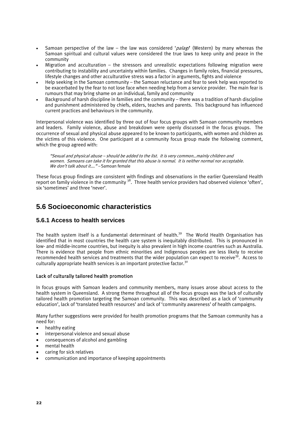- Samoan perspective of the law the law was considered 'palagi' (Western) by many whereas the Samoan spiritual and cultural values were considered the true laws to keep unity and peace in the community
- Migration and acculturation the stressors and unrealistic expectations following migration were contributing to instability and uncertainty within families. Changes in family roles, financial pressures, lifestyle changes and other acculturative stress was a factor in arguments, fights and violence
- Help seeking in the Samoan community the Samoan reluctance and fear to seek help was reported to be exacerbated by the fear to not lose face when needing help from a service provider. The main fear is rumours that may bring shame on an individual, family and community
- Background of harsh discipline in families and the community there was a tradition of harsh discipline and punishment administered by chiefs, elders, teaches and parents. This background has influenced current practices and behaviours in the community.

Interpersonal violence was identified by three out of four focus groups with Samoan community members and leaders. Family violence, abuse and breakdown were openly discussed in the focus groups. The occurrence of sexual and physical abuse appeared to be known to participants, with women and children as the victims of this violence. One participant at a community focus group made the following comment, which the group agreed with:

"Sexual and physical abuse – should be added to the list. It is very common…mainly children and women. Samoans can take it for granted that this abuse is normal. It is neither normal nor acceptable. We don't talk about it...." – Samoan female

These focus group findings are consistent with findings and observations in the earlier Queensland Health report on family violence in the community <sup>38</sup>. Three health service providers had observed violence 'often', six 'sometimes' and three 'never'.

# **5.6 Socioeconomic characteristics**

## **5.6.1 Access to health services**

The health system itself is a fundamental determinant of health.<sup>39</sup> The World Health Organisation has identified that in most countries the health care system is inequitably distributed. This is pronounced in low- and middle-income countries, but inequity is also prevalent in high income countries such as Australia. There is evidence that people from ethnic minorities and Indigenous peoples are less likely to receive recommended health services and treatments that the wider population can expect to receive<sup>39</sup>. Access to culturally appropriate health services is an important protective factor.<sup>30</sup>

#### Lack of culturally tailored health promotion

In focus groups with Samoan leaders and community members, many issues arose about access to the health system in Queensland. A strong theme throughout all of the focus groups was the lack of culturally tailored health promotion targeting the Samoan community. This was described as a lack of 'community education', lack of 'translated health resources' and lack of 'community awareness' of health campaigns.

Many further suggestions were provided for health promotion programs that the Samoan community has a need for:

- healthy eating
- interpersonal violence and sexual abuse
- consequences of alcohol and gambling
- mental health
- caring for sick relatives
- communication and importance of keeping appointments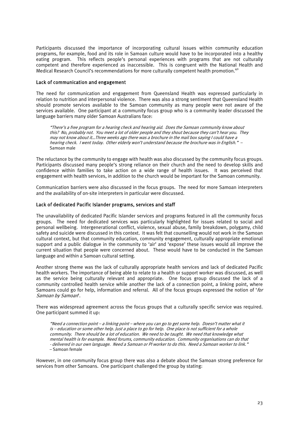Participants discussed the importance of incorporating cultural issues within community education programs, for example, food and its role in Samoan culture would have to be incorporated into a healthy eating program. This reflects people's personal experiences with programs that are not culturally competent and therefore experienced as inaccessible. This is congruent with the National Health and Medical Research Council's recommendations for more culturally competent health promotion.<sup>40</sup>

#### Lack of communication and engagement

The need for communication and engagement from Queensland Health was expressed particularly in relation to nutrition and interpersonal violence. There was also a strong sentiment that Queensland Health should promote services available to the Samoan community as many people were not aware of the services available. One participant at a community focus group who is a community leader discussed the language barriers many older Samoan Australians face:

"There's a free program for a hearing check and hearing aid. Does the Samoan community know about this? No, probably not. You meet a lot of older people and they shout because they can't hear you. They may not know about it…Three weeks ago there was a brochure in the mail box saying I could have a hearing check. I went today. Other elderly won't understand because the brochure was in English." – Samoan male

The reluctance by the community to engage with health was also discussed by the community focus groups. Participants discussed many people's strong reliance on their church and the need to develop skills and confidence within families to take action on a wide range of health issues. It was perceived that engagement with health services, in addition to the church would be important for the Samoan community.

Communication barriers were also discussed in the focus groups. The need for more Samoan interpreters and the availability of on-site interpreters in particular were discussed.

#### Lack of dedicated Pacific Islander programs, services and staff

The unavailability of dedicated Pacific Islander services and programs featured in all the community focus groups. The need for dedicated services was particularly highlighted for issues related to social and personal wellbeing. Intergenerational conflict, violence, sexual abuse, family breakdown, polygamy, child safety and suicide were discussed in this context. It was felt that counselling would not work in the Samoan cultural context, but that community education, community engagement, culturally appropriate emotional support and a public dialogue in the community to 'air' and 'expose' these issues would all improve the current situation that people were concerned about. These would have to be conducted in the Samoan language and within a Samoan cultural setting.

Another strong theme was the lack of culturally appropriate health services and lack of dedicated Pacific health workers. The importance of being able to relate to a health or support worker was discussed, as well as the service being culturally relevant and appropriate. One focus group discussed the lack of a community controlled health service while another the lack of a connection point, a linking point, where Samoans could go for help, information and referral. All of the focus groups expressed the notion of 'for Samoan by Samoan'.

There was widespread agreement across the focus groups that a culturally specific service was required. One participant summed it up:

"Need a connection point – a linking point – where you can go to get some help. Doesn't matter what it is – education or some other help. Just a place to go for help. One place is not sufficient for a whole community. There should be a lot of education. We need to be taught. We need that knowledge what mental health is for example. Need forums, community education. Community organisations can do that - delivered in our own language. Need a Samoan or PI worker to do this. Need a Samoan worker to link." – Samoan female

However, in one community focus group there was also a debate about the Samoan strong preference for services from other Samoans. One participant challenged the group by stating: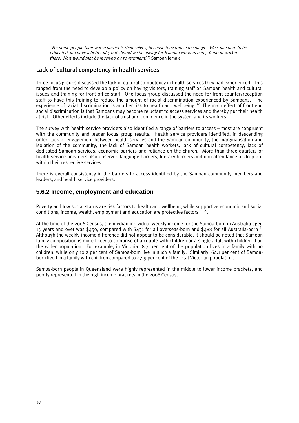"For some people their worse barrier is themselves, because they refuse to change. We came here to be educated and have a better life, but should we be asking for Samoan workers here, Samoan workers there. How would that be received by government?"- Samoan female

## Lack of cultural competency in health services

Three focus groups discussed the lack of cultural competency in health services they had experienced. This ranged from the need to develop a policy on having visitors, training staff on Samoan health and cultural issues and training for front office staff. One focus group discussed the need for front counter/reception staff to have this training to reduce the amount of racial discrimination experienced by Samoans. The experience of racial discrimination is another risk to health and wellbeing  $30$ . The main effect of front end social discrimination is that Samoans may become reluctant to access services and thereby put their health at risk. Other effects include the lack of trust and confidence in the system and its workers.

The survey with health service providers also identified a range of barriers to access – most are congruent with the community and leader focus group results. Health service providers identified, in descending order, lack of engagement between health services and the Samoan community, the marginalisation and isolation of the community, the lack of Samoan health workers, lack of cultural competency, lack of dedicated Samoan services, economic barriers and reliance on the church. More than three-quarters of health service providers also observed language barriers, literacy barriers and non-attendance or drop-out within their respective services.

There is overall consistency in the barriers to access identified by the Samoan community members and leaders, and health service providers.

#### **5.6.2 Income, employment and education**

Poverty and low social status are risk factors to health and wellbeing while supportive economic and social conditions, income, wealth, employment and education are protective factors  $2^{1,30}$ .

At the time of the 2006 Census, the median individual weekly income for the Samoa-born in Australia aged 15 years and over was \$450, compared with \$431 for all overseas-born and \$488 for all Australia-born  $^6$ . Although the weekly income difference did not appear to be considerable, it should be noted that Samoan family composition is more likely to comprise of a couple with children or a single adult with children than the wider population. For example, in Victoria 18.7 per cent of the population lives in a family with no children, while only 10.2 per cent of Samoa-born live in such a family. Similarly, 64.1 per cent of Samoaborn lived in a family with children compared to 47.9 per cent of the total Victorian population.

Samoa-born people in Queensland were highly represented in the middle to lower income brackets, and poorly represented in the high income brackets in the 2006 Census.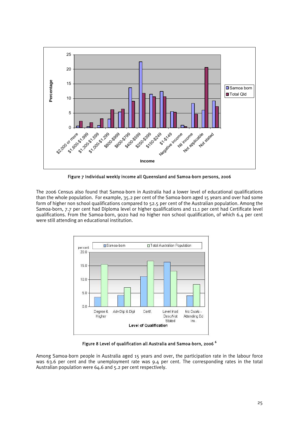

Figure 7 Individual weekly income all Queensland and Samoa-born persons, 2006

The 2006 Census also found that Samoa-born in Australia had a lower level of educational qualifications than the whole population. For example, 35.2 per cent of the Samoa-born aged 15 years and over had some form of higher non school qualifications compared to 52.5 per cent of the Australian population. Among the Samoa-born, 7.7 per cent had Diploma level or higher qualifications and 11.1 per cent had Certificate level qualifications. From the Samoa-born, 9020 had no higher non school qualification, of which 6.4 per cent were still attending an educational institution.



Figure 8 Level of qualification all Australia and Samoa-born, 2006<sup>6</sup>

Among Samoa-born people in Australia aged 15 years and over, the participation rate in the labour force was 63.6 per cent and the unemployment rate was 9.4 per cent. The corresponding rates in the total Australian population were 64.6 and 5.2 per cent respectively.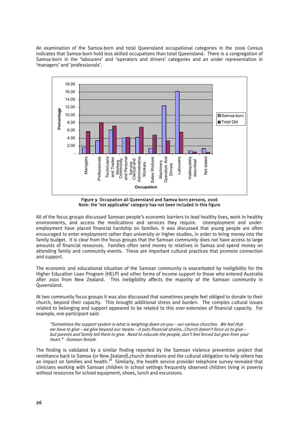An examination of the Samoa-born and total Queensland occupational categories in the 2006 Census indicates that Samoa-born hold less skilled occupations than total Queensland. There is a congregation of Samoa-born in the 'labourers' and 'operators and drivers' categories and an under representation in 'managers' and 'professionals'.



Figure 9 Occupation all Queensland and Samoa-born persons, 2006 Note: the 'not applicable' category has not been included in this figure

All of the focus groups discussed Samoan people's economic barriers to lead healthy lives, work in healthy environments, and access the medications and services they require. Unemployment and underemployment have placed financial hardship on families. It was discussed that young people are often encouraged to enter employment rather than university or higher studies, in order to bring money into the family budget. It is clear from the focus groups that the Samoan community does not have access to large amounts of financial resources. Families often send money to relatives in Samoa and spend money on attending family and community events. These are important cultural practices that promote connection and support.

The economic and educational situation of the Samoan community is exacerbated by ineligibility for the Higher Education Loan Program (HELP) and other forms of income support to those who entered Australia after 2001 from New Zealand. This ineligibility affects the majority of the Samoan community in Queensland.

At two community focus groups it was also discussed that sometimes people feel obliged to donate to their church, beyond their capacity. This brought additional stress and burden. The complex cultural issues related to belonging and support appeared to be related to this over-extension of financial capacity. For example, one participant said:

"Sometimes the support system is what is weighing down on you – our various churches. We feel that we have to give – we give beyond our means – it puts financial strains…Church doesn't force us to give – but parents and family tell them to give. Need to educate the people, don't feel forced but give from your heart." -Samoan female

The finding is validated by a similar finding reported by the Samoan violence prevention project that remittance back to Samoa (or New Zealand),church donations and the cultural obligation to help others has an impact on families and health.<sup>38</sup> Similarly, the health service provider telephone survey revealed that clinicians working with Samoan children in school settings frequently observed children living in poverty without resources for school equipment, shoes, lunch and excursions.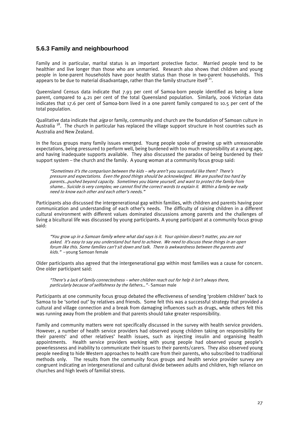#### **5.6.3 Family and neighbourhood**

Family and in particular, marital status is an important protective factor. Married people tend to be healthier and live longer than those who are unmarried. Research also shows that children and young people in lone-parent households have poor health status than those in two-parent households. This appears to be due to material disadvantage, rather than the family structure itself<sup>21</sup>.

Queensland Census data indicate that 7.93 per cent of Samoa-born people identified as being a lone parent, compared to 4.21 per cent of the total Queensland population. Similarly, 2006 Victorian data indicates that 17.6 per cent of Samoa-born lived in a one parent family compared to 10.5 per cent of the total population.

Qualitative data indicate that *aiga* or family, community and church are the foundation of Samoan culture in Australia  $3^8$ . The church in particular has replaced the village support structure in host countries such as Australia and New Zealand.

In the focus groups many family issues emerged. Young people spoke of growing up with unreasonable expectations, being pressured to perform well, being burdened with too much responsibility at a young age, and having inadequate supports available. They also discussed the paradox of being burdened by their support system – the church and the family. A young woman at a community focus group said:

"Sometimes it's the comparison between the kids – why aren't you successful like them? There's pressure and expectations. Even the good things should be acknowledged. We are pushed too hard by parents…pushed beyond capacity. Sometimes you blame yourself, and want to protect the family from shame… Suicide is very complex; we cannot find the correct words to explain it. Within a family we really need to know each other and each other's needs."

Participants also discussed the intergenerational gap within families, with children and parents having poor communication and understanding of each other's needs. The difficulty of raising children in a different cultural environment with different values dominated discussions among parents and the challenges of living a bicultural life was discussed by young participants. A young participant at a community focus group said:

"You grow up in a Samoan family where what dad says is it. Your opinion doesn't matter, you are not asked. It's easy to say you understand but hard to achieve. We need to discuss these things in an open forum like this. Some families can't sit down and talk. There is awkwardness between the parents and kids." – young Samoan female

Older participants also agreed that the intergenerational gap within most families was a cause for concern. One older participant said:

"There's a lack of family connectedness – when children reach out for help it isn't always there, particularly because of selfishness by the fathers..." - Samoan male

Participants at one community focus group debated the effectiveness of sending 'problem children' back to Samoa to be 'sorted out' by relatives and friends. Some felt this was a successful strategy that provided a cultural and village connection and a break from damaging influences such as drugs, while others felt this was running away from the problem and that parents should take greater responsibility.

Family and community matters were not specifically discussed in the survey with health service providers. However, a number of health service providers had observed young children taking on responsibility for their parents' and other relatives' health issues, such as injecting insulin and organising health appointments. Health service providers working with young people had observed young people's powerlessness and inability to communicate their issues to their parents/carers. They also observed young people needing to hide Western approaches to health care from their parents, who subscribed to traditional methods only. The results from the community focus groups and health service provider survey are congruent indicating an intergenerational and cultural divide between adults and children, high reliance on churches and high levels of familial stress.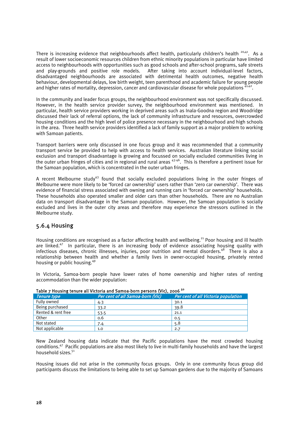There is increasing evidence that neighbourhoods affect health, particularly children's health  $^{20,41}$ . As a result of lower socioeconomic resources children from ethnic minority populations in particular have limited access to neighbourhoods with opportunities such as good schools and after-school programs, safe streets and play-grounds and positive role models. After taking into account individual-level factors, disadvantaged neighbourhoods are associated with detrimental health outcomes, negative health behaviour, developmental delays, low birth weight, teen parenthood and academic failure for young people and higher rates of mortality, depression, cancer and cardiovascular disease for whole populations  $^{\frac{1}{4}}$ 

In the community and leader focus groups, the neighbourhood environment was not specifically discussed. However, in the health service provider survey, the neighbourhood environment was mentioned. In particular, health service providers working in deprived areas such as Inala-Goodna region and Woodridge discussed their lack of referral options, the lack of community infrastructure and resources, overcrowded housing conditions and the high level of police presence necessary in the neighbourhood and high schools in the area. Three health service providers identified a lack of family support as a major problem to working with Samoan patients.

Transport barriers were only discussed in one focus group and it was recommended that a community transport service be provided to help with access to health services. Australian literature linking social exclusion and transport disadvantage is growing and focussed on socially excluded communities living in the outer urban fringes of cities and in regional and rural areas 43-46. This is therefore a pertinent issue for the Samoan population, which is concentrated in the outer urban fringes.

A recent Melbourne study<sup>43</sup> found that socially excluded populations living in the outer fringes of Melbourne were more likely to be 'forced car ownership' users rather than 'zero car ownership'. There was evidence of financial stress associated with owning and running cars in 'forced car ownership' households. These households also operated smaller and older cars than other households. There are no Australian data on transport disadvantage in the Samoan population. However, the Samoan population is socially excluded and lives in the outer city areas and therefore may experience the stressors outlined in the Melbourne study.

## 5.6.4 Housing

Housing conditions are recognised as a factor affecting health and wellbeing.<sup>21</sup> Poor housing and ill health are linked.<sup>47</sup> In particular, there is an increasing body of evidence associating housing quality with infectious diseases, chronic illnesses, injuries, poor nutrition and mental disorders.<sup>48</sup> There is also a relationship between health and whether a family lives in owner-occupied housing, privately rented housing or public housing.<sup>49</sup>

| Table 7 Housing tenure all victoria and Samoa-born persons (Vic), 2006 11 |                                  |                                     |  |  |  |
|---------------------------------------------------------------------------|----------------------------------|-------------------------------------|--|--|--|
| <b>Tenure type</b>                                                        | Per cent of all Samoa-born (Vic) | Per cent of all Victoria population |  |  |  |
| Fully owned                                                               | 4.3                              | 30.1                                |  |  |  |
| Being purchased                                                           | 33.2                             | 39.8                                |  |  |  |
| Rented & rent free                                                        | 53.5                             | 21.1                                |  |  |  |
| Other                                                                     | 0.6                              | 0.5                                 |  |  |  |
| Not stated                                                                | 7.4                              | 5.8                                 |  |  |  |
| Not applicable                                                            | 1.0                              | 2.7                                 |  |  |  |

In Victoria, Samoa-born people have lower rates of home ownership and higher rates of renting

|  | In Victoria, Samoa-born people have lower rates of home ownership and higher rates of rentin |  |  |  |  |  |  |
|--|----------------------------------------------------------------------------------------------|--|--|--|--|--|--|
|  | accommodation than the wider population:                                                     |  |  |  |  |  |  |

| Table 7 Housing tenure all Victoria and Samoa-born persons (Vic), 2006 <sup>50</sup> |
|--------------------------------------------------------------------------------------|
|--------------------------------------------------------------------------------------|

New Zealand housing data indicate that the Pacific populations have the most crowded housing conditions.47 Pacific populations are also most likely to live in multi-family households and have the largest household sizes.<sup>51</sup>

Housing issues did not arise in the community focus groups. Only in one community focus group did participants discuss the limitations to being able to set up Samoan gardens due to the majority of Samoans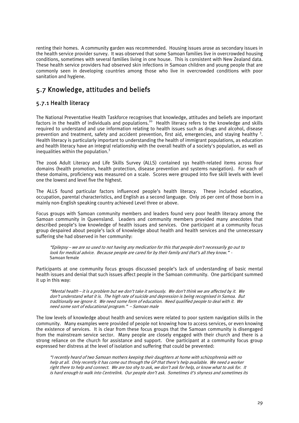renting their homes. A community garden was recommended. Housing issues arose as secondary issues in the health service provider survey. It was observed that some Samoan families live in overcrowded housing conditions, sometimes with several families living in one house. This is consistent with New Zealand data. These health service providers had observed skin infections in Samoan children and young people that are commonly seen in developing countries among those who live in overcrowded conditions with poor sanitation and hygiene.

# 5.7 Knowledge, attitudes and beliefs

## 5.7.1 Health literacy

The National Preventative Health Taskforce recognises that knowledge, attitudes and beliefs are important factors in the health of individuals and populations.<sup>20</sup> Health literacy refers to the knowledge and skills required to understand and use information relating to health issues such as drugs and alcohol, disease prevention and treatment, safety and accident prevention, first aid, emergencies, and staying healthy <sup>3</sup>. Health literacy is particularly important to understanding the health of immigrant populations, as education and health literacy have an integral relationship with the overall health of a society's population, as well as inequalities within the population. $3$ 

The 2006 Adult Literacy and Life Skills Survey (ALLS) contained 191 health-related items across four domains (health promotion, health protection, disease prevention and systems navigation). For each of these domains, proficiency was measured on a scale. Scores were grouped into five skill levels with level one the lowest and level five the highest.

The ALLS found particular factors influenced people's health literacy. These included education, occupation, parental characteristics, and English as a second language. Only 26 per cent of those born in a mainly non-English speaking country achieved Level three or above.

Focus groups with Samoan community members and leaders found very poor health literacy among the Samoan community in Queensland. Leaders and community members provided many anecdotes that described people's low knowledge of health issues and services. One participant at a community focus group despaired about people's lack of knowledge about health and health services and the unnecessary suffering she had observed in her community:

"Epilepsy – we are so used to not having any medication for this that people don't necessarily go out to look for medical advice. Because people are cared for by their family and that's all they know." - Samoan female

Participants at one community focus groups discussed people's lack of understanding of basic mental health issues and denial that such issues affect people in the Samoan community. One participant summed it up in this way:

"Mental health – it is a problem but we don't take it seriously. We don't think we are affected by it. We don't understand what it is. The high rate of suicide and depression is being recognised in Samoa. But traditionally we ignore it. We need some form of education. Need qualified people to deal with it. We need some sort of educational program." – Samoan male

The low levels of knowledge about health and services were related to poor system navigation skills in the community. Many examples were provided of people not knowing how to access services, or even knowing the existence of services. It is clear from these focus groups that the Samoan community is disengaged from the mainstream service sector. Many people are closely engaged with their church and there is a strong reliance on the church for assistance and support. One participant at a community focus group expressed her distress at the level of isolation and suffering that could be prevented:

"I recently heard of two Samoan mothers keeping their daughters at home with schizophrenia with no help at all. Only recently it has come out through the GP that there's help available. We need a worker right there to help and connect. We are too shy to ask, we don't ask for help, or know what to ask for. It is hard enough to walk into Centrelink. Our people don't ask. Sometimes it's shyness and sometimes its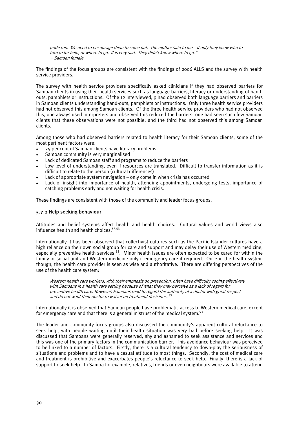pride too. We need to encourage them to come out. The mother said to me – if only they knew who to turn to for help, or where to go. It is very sad. They didn't know where to go." – Samoan female

The findings of the focus groups are consistent with the findings of 2006 ALLS and the survey with health service providers.

The survey with health service providers specifically asked clinicians if they had observed barriers for Samoan clients in using their health services such as language barriers, literacy or understanding of handouts, pamphlets or instructions. Of the 12 interviewed, 9 had observed both language barriers and barriers in Samoan clients understanding hand-outs, pamphlets or instructions. Only three health service providers had not observed this among Samoan clients. Of the three health service providers who had not observed this, one always used interpreters and observed this reduced the barriers; one had seen such few Samoan clients that these observations were not possible; and the third had not observed this among Samoan clients.

Among those who had observed barriers related to health literacy for their Samoan clients, some of the most pertinent factors were:

- 75 per cent of Samoan clients have literacy problems
- Samoan community is very marginalised
- Lack of dedicated Samoan staff and programs to reduce the barriers
- Low level of understanding, even if resources are translated. Difficult to transfer information as it is difficult to relate to the person (cultural differences)
- Lack of appropriate system navigation  $-$  only come in when crisis has occurred
- Lack of insight into importance of health, attending appointments, undergoing tests, importance of catching problems early and not waiting for health crisis.

These findings are consistent with those of the community and leader focus groups.

#### 5.7.2 Help seeking behaviour

Attitudes and belief systems affect health and health choices. Cultural values and world views also influence health and health choices. $52,53$ 

Internationally it has been observed that collectivist cultures such as the Pacific Islander cultures have a high reliance on their own social group for care and support and may delay their use of Western medicine, especially preventive health services <sup>53</sup>. Minor health issues are often expected to be cared for within the family or social unit and Western medicine only if emergency care if required. Once in the health system though, the health care provider is seen as wise and authoritative. There are differing perspectives of the use of the health care system:

Western health care workers, with their emphasis on prevention, often have difficulty coping effectively with Samoans in a health care setting because of what they may perceive as a lack of regard for preventive health care. However, Samoans tend to regard the authority of a doctor with great respect and do not want their doctor to waiver on treatment decisions. <sup>53</sup>

Internationally it is observed that Samoan people have problematic access to Western medical care, except for emergency care and that there is a general mistrust of the medical system.<sup>53</sup>

The leader and community focus groups also discussed the community's apparent cultural reluctance to seek help, with people waiting until their health situation was very bad before seeking help. It was discussed that Samoans were generally reserved, shy and ashamed to seek assistance and services and this was one of the primary factors in the communication barrier. This avoidance behaviour was perceived to be linked to a number of factors. Firstly, there is a cultural tendency to down-play the seriousness of situations and problems and to have a casual attitude to most things. Secondly, the cost of medical care and treatment is prohibitive and exacerbates people's reluctance to seek help. Finally, there is a lack of support to seek help. In Samoa for example, relatives, friends or even neighbours were available to attend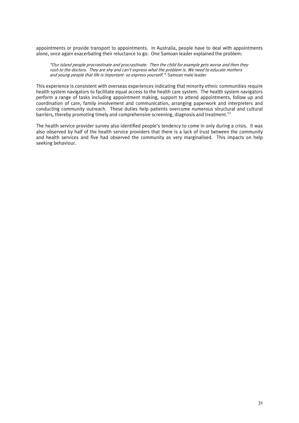appointments or provide transport to appointments. In Australia, people have to deal with appointments alone, once again exacerbating their reluctance to go. One Samoan leader explained the problem:

"Our island people procrastinate and procrastinate. Then the child for example gets worse and then they rush to the doctors. They are shy and can't express what the problem is. We need to educate mothers and young people that life is important- so express yourself."- Samoan male leader

This experience is consistent with overseas experiences indicating that minority ethnic communities require health system navigators to facilitate equal access to the health care system. The health system navigators perform a range of tasks including appointment making, support to attend appointments, follow up and coordination of care, family involvement and communication, arranging paperwork and interpreters and conducting community outreach. These duties help patients overcome numerous structural and cultural barriers, thereby promoting timely and comprehensive screening, diagnosis and treatment.<sup>53</sup>

The health service provider survey also identified people's tendency to come in only during a crisis. It was also observed by half of the health service providers that there is a lack of trust between the community and health services and five had observed the community as very marginalised. This impacts on help seeking behaviour.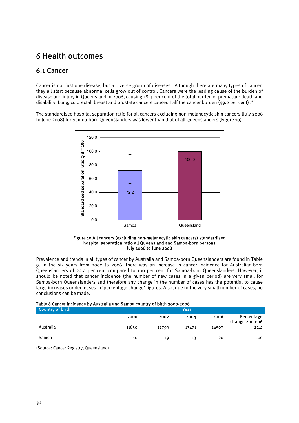# 6 Health outcomes

# 6.1 Cancer

Cancer is not just one disease, but a diverse group of diseases. Although there are many types of cancer, they all start because abnormal cells grow out of control. Cancers were the leading cause of the burden of disease and injury in Queensland in 2006, causing 18.9 per cent of the total burden of premature death and disability. Lung, colorectal, breast and prostate cancers caused half the cancer burden (49.2 per cent).<sup>27</sup>

The standardised hospital separation ratio for all cancers excluding non-melanocytic skin cancers (July 2006 to June 2008) for Samoa-born Queenslanders was lower than that of all Queenslanders (Figure 10).



Figure 10 All cancers (excluding non-melanocytic skin cancers) standardised hospital separation ratio all Queensland and Samoa-born persons July 2006 to June 2008

Prevalence and trends in all types of cancer by Australia and Samoa-born Queenslanders are found in Table 9. In the six years from 2000 to 2006, there was an increase in cancer incidence for Australian-born Queenslanders of 22.4 per cent compared to 100 per cent for Samoa-born Queenslanders. However, it should be noted that cancer incidence (the number of new cases in a given period) are very small for Samoa-born Queenslanders and therefore any change in the number of cases has the potential to cause large increases or decreases in 'percentage change' figures. Also, due to the very small number of cases, no conclusions can be made.

|  | Table 8 Cancer incidence by Australia and Samoa country of birth 2000-2006 |
|--|----------------------------------------------------------------------------|
|  |                                                                            |

| Country of birth |       |       | Year  |       |                              |
|------------------|-------|-------|-------|-------|------------------------------|
|                  | 2000  | 2002  | 2004  | 2006  | Percentage<br>change 2000-06 |
| Australia        | 11850 | 12799 | 13471 | 14507 | 22.4                         |
| Samoa            | 10    | 19    | 13    | 20    | 100                          |

(Source: Cancer Registry, Queensland)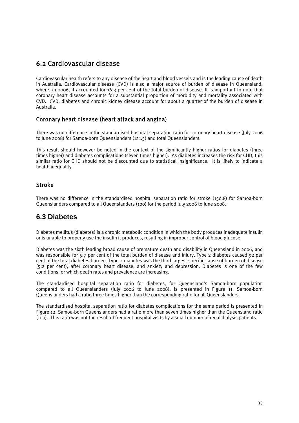# 6.2 Cardiovascular disease

Cardiovascular health refers to any disease of the heart and blood vessels and is the leading cause of death in Australia. Cardiovascular disease (CVD) is also a major source of burden of disease in Queensland, where, in 2006, it accounted for 16.3 per cent of the total burden of disease. It is important to note that coronary heart disease accounts for a substantial proportion of morbidity and mortality associated with CVD. CVD, diabetes and chronic kidney disease account for about a quarter of the burden of disease in Australia.

## Coronary heart disease (heart attack and angina)

There was no difference in the standardised hospital separation ratio for coronary heart disease (July 2006 to June 2008) for Samoa-born Queenslanders (121.5) and total Queenslanders.

This result should however be noted in the context of the significantly higher ratios for diabetes (three times higher) and diabetes complications (seven times higher). As diabetes increases the risk for CHD, this similar ratio for CHD should not be discounted due to statistical insignificance. It is likely to indicate a health inequality.

## Stroke

There was no difference in the standardised hospital separation ratio for stroke (150.8) for Samoa-born Queenslanders compared to all Queenslanders (100) for the period July 2006 to June 2008.

## **6.3 Diabetes**

Diabetes mellitus (diabetes) is a chronic metabolic condition in which the body produces inadequate insulin or is unable to properly use the insulin it produces, resulting in improper control of blood glucose.

Diabetes was the sixth leading broad cause of premature death and disability in Queensland in 2006, and was responsible for 5.7 per cent of the total burden of disease and injury. Type 2 diabetes caused 92 per cent of the total diabetes burden. Type 2 diabetes was the third largest specific cause of burden of disease (5.2 per cent), after coronary heart disease, and anxiety and depression. Diabetes is one of the few conditions for which death rates and prevalence are increasing.

The standardised hospital separation ratio for diabetes, for Queensland's Samoa-born population compared to all Queenslanders (July 2006 to June 2008), is presented in Figure 11. Samoa-born Queenslanders had a ratio three times higher than the corresponding ratio for all Queenslanders.

The standardised hospital separation ratio for diabetes complications for the same period is presented in Figure 12. Samoa-born Queenslanders had a ratio more than seven times higher than the Queensland ratio (100). This ratio was not the result of frequent hospital visits by a small number of renal dialysis patients.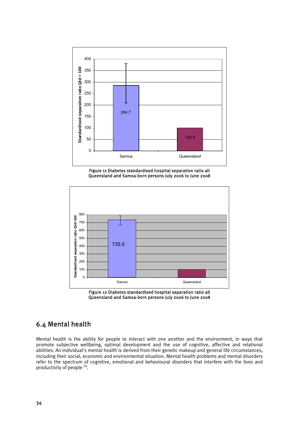

Figure 11 Diabetes standardised hospital separation ratio all Queensland and Samoa-born persons July 2006 to June 2008



Figure 12 Diabetes standardised hospital separation ratio all Queensland and Samoa-born persons July 2006 to June 2008

# 6.4 Mental health

Mental health is the ability for people to interact with one another and the environment, in ways that promote subjective wellbeing, optimal development and the use of cognitive, affective and relational abilities. An individual's mental health is derived from their genetic makeup and general life circumstances, including their social, economic and environmental situation. Mental health problems and mental disorders refer to the spectrum of cognitive, emotional and behavioural disorders that interfere with the lives and productivity of people 54.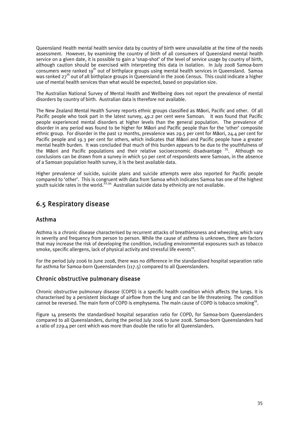Queensland Health mental health service data by country of birth were unavailable at the time of the needs assessment. However, by examining the country of birth of all consumers of Queensland mental health service on a given date, it is possible to gain a 'snap-shot' of the level of service usage by country of birth, although caution should be exercised with interpreting this data in isolation. In July 2008 Samoa-born consumers were ranked 19<sup>th</sup> out of birthplace groups using mental health services in Queensland. Samoa was ranked 27<sup>th</sup> out of all birthplace groups in Queensland in the 2006 Census. This could indicate a higher use of mental health services than what would be expected, based on population size.

The Australian National Survey of Mental Health and Wellbeing does not report the prevalence of mental disorders by country of birth. Australian data is therefore not available.

The New Zealand Mental Health Survey reports ethnic groups classified as Māori, Pacific and other. Of all Pacific people who took part in the latest survey, 49.2 per cent were Samoan. It was found that Pacific people experienced mental disorders at higher levels than the general population. The prevalence of disorder in any period was found to be higher for Māori and Pacific people than for the 'other' composite ethnic group. For disorder in the past 12 months, prevalence was 29.5 per cent for Māori, 24.4 per cent for Pacific people and 19.3 per cent for others, which indicates that Māori and Pacific people have a greater mental health burden. It was concluded that much of this burden appears to be due to the youthfulness of the Māori and Pacific populations and their relative socioeconomic disadvantage  $35$ . Although no conclusions can be drawn from a survey in which 50 per cent of respondents were Samoan, in the absence of a Samoan population health survey, it is the best available data.

Higher prevalence of suicide, suicide plans and suicide attempts were also reported for Pacific people compared to 'other'. This is congruent with data from Samoa which indicates Samoa has one of the highest youth suicide rates in the world.<sup>22,34</sup> Australian suicide data by ethnicity are not available.

# 6.5 Respiratory disease

## Asthma

Asthma is a chronic disease characterised by recurrent attacks of breathlessness and wheezing, which vary in severity and frequency from person to person. While the cause of asthma is unknown, there are factors that may increase the risk of developing the condition, including environmental exposures such as tobacco smoke, specific allergens, lack of physical activity and stressful life events<sup>19</sup>.

For the period July 2006 to June 2008, there was no difference in the standardised hospital separation ratio for asthma for Samoa-born Queenslanders (117.5) compared to all Queenslanders.

## Chronic obstructive pulmonary disease

Chronic obstructive pulmonary disease (COPD) is a specific health condition which affects the lungs. It is characterised by a persistent blockage of airflow from the lung and can be life threatening. The condition cannot be reversed. The main form of COPD is emphysema. The main cause of COPD is tobacco smoking<sup>19</sup>.

Figure 14 presents the standardised hospital separation ratio for COPD, for Samoa-born Queenslanders compared to all Queenslanders, during the period July 2006 to June 2008. Samoa-born Queenslanders had a ratio of 229.4 per cent which was more than double the ratio for all Queenslanders.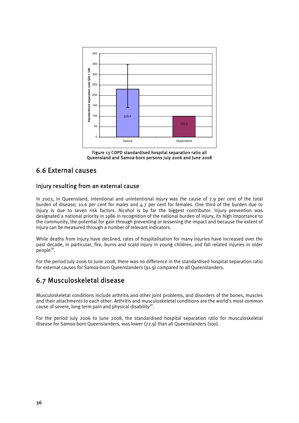

Figure 13 COPD standardised hospital separation ratio all Queensland and Samoa-born persons July 2006 and June 2008

# 6.6 External causes

## Injury resulting from an external cause

In 2003, in Queensland, intentional and unintentional injury was the cause of 7.9 per cent of the total burden of disease; 10.6 per cent for males and 4.7 per cent for females. One third of the burden due to injury is due to seven risk factors. Alcohol is by far the biggest contributor. Injury prevention was designated a national priority in 1986 in recognition of the national burden of injury, its high importance to the community, the potential for gain through preventing or lessening the impact and because the extent of injury can be measured through a number of relevant indicators.

While deaths from injury have declined, rates of hospitalisation for many injuries have increased over the past decade, in particular, fire, burns and scald injury in young children, and fall related injuries in older  $people<sup>19</sup>$ .

For the period July 2006 to June 2008, there was no difference in the standardised hospital separation ratio for external causes for Samoa-born Queenslanders (91.9) compared to all Queenslanders.

# 6.7 Musculoskeletal disease

Musculoskeletal conditions include arthritis and other joint problems, and disorders of the bones, muscles and their attachments to each other. Arthritis and musculoskeletal conditions are the world's most common cause of severe, long term pain and physical disability $^{19}$ .

For the period July 2006 to June 2008, the standardised hospital separation ratio for musculoskeletal disease for Samoa-born Queenslanders, was lower (72.9) than all Queenslanders (100).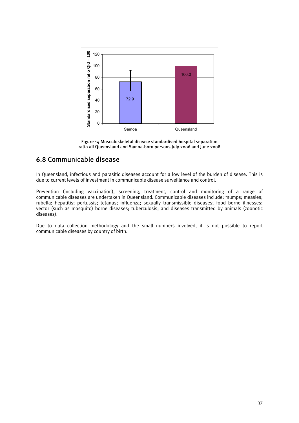

Figure 14 Musculoskeletal disease standardised hospital separation ratio all Queensland and Samoa-born persons July 2006 and June 2008

# 6.8 Communicable disease

In Queensland, infectious and parasitic diseases account for a low level of the burden of disease. This is due to current levels of investment in communicable disease surveillance and control.

Prevention (including vaccination), screening, treatment, control and monitoring of a range of communicable diseases are undertaken in Queensland. Communicable diseases include: mumps; measles; rubella; hepatitis; pertussis; tetanus; influenza; sexually transmissible diseases; food borne illnesses; vector (such as mosquito) borne diseases; tuberculosis; and diseases transmitted by animals (zoonotic diseases).

Due to data collection methodology and the small numbers involved, it is not possible to report communicable diseases by country of birth.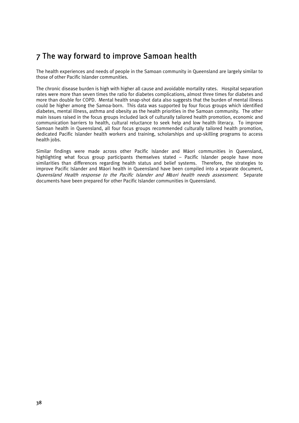# 7 The way forward to improve Samoan health

The health experiences and needs of people in the Samoan community in Queensland are largely similar to those of other Pacific Islander communities.

The chronic disease burden is high with higher all cause and avoidable mortality rates. Hospital separation rates were more than seven times the ratio for diabetes complications, almost three times for diabetes and more than double for COPD. Mental health snap-shot data also suggests that the burden of mental illness could be higher among the Samoa-born. This data was supported by four focus groups which identified diabetes, mental illness, asthma and obesity as the health priorities in the Samoan community. The other main issues raised in the focus groups included lack of culturally tailored health promotion, economic and communication barriers to health, cultural reluctance to seek help and low health literacy. To improve Samoan health in Queensland, all four focus groups recommended culturally tailored health promotion, dedicated Pacific Islander health workers and training, scholarships and up-skilling programs to access health jobs.

Similar findings were made across other Pacific Islander and Māori communities in Queensland, highlighting what focus group participants themselves stated – Pacific Islander people have more similarities than differences regarding health status and belief systems. Therefore, the strategies to improve Pacific Islander and Māori health in Queensland have been compiled into a separate document, Queensland Health response to the Pacific Islander and M*ā*ori health needs assessment. Separate documents have been prepared for other Pacific Islander communities in Queensland.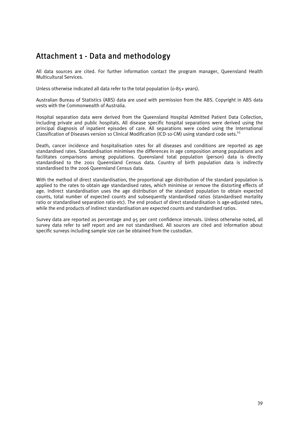# Attachment 1 - Data and methodology

All data sources are cited. For further information contact the program manager, Queensland Health Multicultural Services.

Unless otherwise indicated all data refer to the total population (0-85+ years).

Australian Bureau of Statistics (ABS) data are used with permission from the ABS. Copyright in ABS data vests with the Commonwealth of Australia.

Hospital separation data were derived from the Queensland Hospital Admitted Patient Data Collection, including private and public hospitals. All disease specific hospital separations were derived using the principal diagnosis of inpatient episodes of care. All separations were coded using the International Classification of Diseases version 10 Clinical Modification (ICD-10-CM) using standard code sets.55

Death, cancer incidence and hospitalisation rates for all diseases and conditions are reported as age standardised rates. Standardisation minimises the differences in age composition among populations and facilitates comparisons among populations. Queensland total population (person) data is directly standardised to the 2001 Queensland Census data. Country of birth population data is indirectly standardised to the 2006 Queensland Census data.

With the method of direct standardisation, the proportional age distribution of the standard population is applied to the rates to obtain age standardised rates, which minimise or remove the distorting effects of age. Indirect standardisation uses the age distribution of the standard population to obtain expected counts, total number of expected counts and subsequently standardised ratios (standardised mortality ratio or standardised separation ratio etc). The end product of direct standardisation is age-adjusted rates, while the end products of indirect standardisation are expected counts and standardised ratios.

Survey data are reported as percentage and 95 per cent confidence intervals. Unless otherwise noted, all survey data refer to self report and are not standardised. All sources are cited and information about specific surveys including sample size can be obtained from the custodian.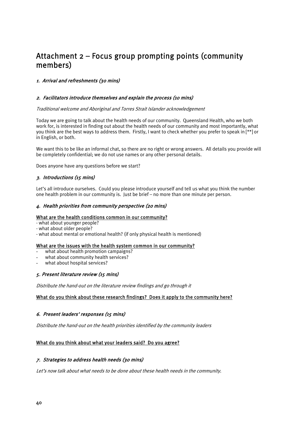# Attachment 2 – Focus group prompting points (community members)

#### 1. Arrival and refreshments (30 mins)

#### 2. Facilitators introduce themselves and explain the process (10 mins)

#### Traditional welcome and Aboriginal and Torres Strait Islander acknowledgement

Today we are going to talk about the health needs of our community. Queensland Health, who we both work for, is interested in finding out about the health needs of our community and most importantly, what you think are the best ways to address them. Firstly, I want to check whether you prefer to speak in [\*\*] or in English, or both.

We want this to be like an informal chat, so there are no right or wrong answers. All details you provide will be completely confidential; we do not use names or any other personal details.

Does anyone have any questions before we start?

#### 3. Introductions (15 mins)

Let's all introduce ourselves. Could you please introduce yourself and tell us what you think the number one health problem in our community is. Just be brief – no more than one minute per person.

#### 4. Health priorities from community perspective (20 mins)

#### What are the health conditions common in our community?

- what about younger people?
- what about older people?
- what about mental or emotional health? (if only physical health is mentioned)

#### What are the issues with the health system common in our community?

- what about health promotion campaigns?
- what about community health services?
- what about hospital services?

#### 5. Present literature review (15 mins)

Distribute the hand-out on the literature review findings and go through it

#### What do you think about these research findings? Does it apply to the community here?

#### 6. Present leaders' responses (15 mins)

Distribute the hand-out on the health priorities identified by the community leaders

#### What do you think about what your leaders said? Do you agree?

#### 7. Strategies to address health needs (30 mins)

Let's now talk about what needs to be done about these health needs in the community.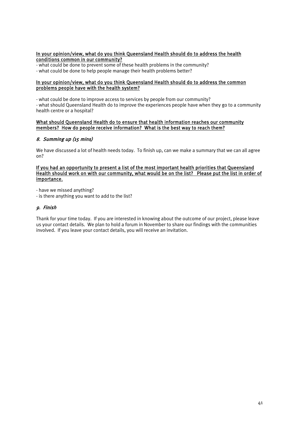#### In your opinion/view, what do you think Queensland Health should do to address the health conditions common in our community?

- what could be done to prevent some of these health problems in the community? - what could be done to help people manage their health problems better?

#### In your opinion/view, what do you think Queensland Health should do to address the common problems people have with the health system?

- what could be done to improve access to services by people from our community? - what should Queensland Health do to improve the experiences people have when they go to a community health centre or a hospital?

#### What should Queensland Health do to ensure that health information reaches our community members? How do people receive information? What is the best way to reach them?

#### 8. Summing up (15 mins)

We have discussed a lot of health needs today. To finish up, can we make a summary that we can all agree on?

#### If you had an opportunity to present a list of the most important health priorities that Queensland Health should work on with our community, what would be on the list? Please put the list in order of importance.

- have we missed anything?

- is there anything you want to add to the list?

#### 9. Finish

Thank for your time today. If you are interested in knowing about the outcome of our project, please leave us your contact details. We plan to hold a forum in November to share our findings with the communities involved. If you leave your contact details, you will receive an invitation.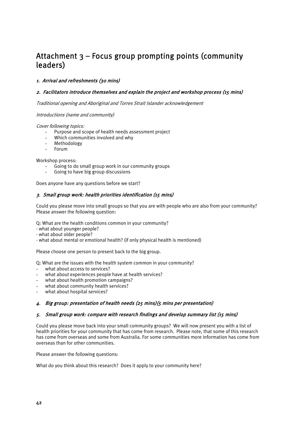# Attachment 3 – Focus group prompting points (community leaders)

#### 1. Arrival and refreshments (30 mins)

#### 2. Facilitators introduce themselves and explain the project and workshop process (15 mins)

Traditional opening and Aboriginal and Torres Strait Islander acknowledgement

Introductions (name and community)

Cover following topics:

- Purpose and scope of health needs assessment project
- Which communities involved and why
- Methodology
- **Forum**

Workshop process:

- Going to do small group work in our community groups
- Going to have big group discussions

Does anyone have any questions before we start?

#### 3. Small group work: health priorities identification (15 mins)

Could you please move into small groups so that you are with people who are also from your community? Please answer the following question:

Q: What are the health conditions common in your community?

- what about younger people?
- what about older people?
- what about mental or emotional health? (if only physical health is mentioned)

Please choose one person to present back to the big group.

Q: What are the issues with the health system common in your community?

- what about access to services?
- what about experiences people have at health services?
- what about health promotion campaigns?
- what about community health services?
- what about hospital services?

#### 4. Big group: presentation of health needs (25 mins)(5 mins per presentation)

#### 5. Small group work: compare with research findings and develop summary list (15 mins)

Could you please move back into your small community groups? We will now present you with a list of health priorities for your community that has come from research. Please note, that some of this research has come from overseas and some from Australia. For some communities more information has come from overseas than for other communities.

Please answer the following questions:

What do you think about this research? Does it apply to your community here?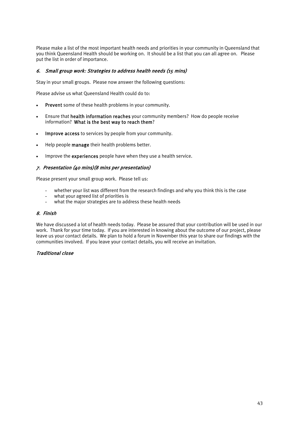Please make a list of the most important health needs and priorities in your community in Queensland that you think Queensland Health should be working on. It should be a list that you can all agree on. Please put the list in order of importance.

#### 6. Small group work: Strategies to address health needs (15 mins)

Stay in your small groups. Please now answer the following questions:

Please advise us what Queensland Health could do to:

- Prevent some of these health problems in your community.
- Ensure that health information reaches your community members? How do people receive information? What is the best way to reach them?
- Improve access to services by people from your community.
- Help people manage their health problems better.
- Improve the experiences people have when they use a health service.

#### 7. Presentation (40 mins)(8 mins per presentation)

Please present your small group work. Please tell us:

- whether your list was different from the research findings and why you think this is the case
- what your agreed list of priorities is
- what the major strategies are to address these health needs

#### 8. Finish

We have discussed a lot of health needs today. Please be assured that your contribution will be used in our work. Thank for your time today. If you are interested in knowing about the outcome of our project, please leave us your contact details. We plan to hold a forum in November this year to share our findings with the communities involved. If you leave your contact details, you will receive an invitation.

#### Traditional close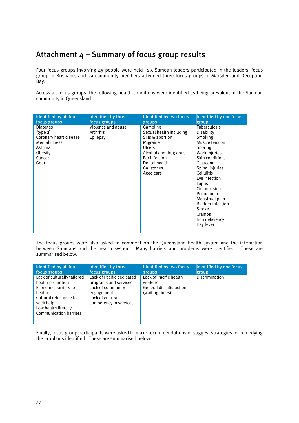# Attachment  $4 -$  Summary of focus group results

Four focus groups involving 45 people were held– six Samoan leaders participated in the leaders' focus group in Brisbane, and 39 community members attended three focus groups in Marsden and Deception Bay.

Across all focus groups, the following health conditions were identified as being prevalent in the Samoan community in Queensland.

| Identified by all four | <b>Identified by three</b> | <b>Identified by two focus</b> | <b>Identified by one focus</b> |
|------------------------|----------------------------|--------------------------------|--------------------------------|
| focus groups           | focus groups               | groups                         | group                          |
| <b>Diabetes</b>        | Violence and abuse         | Gambling                       | <b>Tuberculosis</b>            |
| (type 2)               | Arthritis                  | Sexual health including        | Disability                     |
| Coronary heart disease | Epilepsy                   | STIs & abortion                | Smoking                        |
| Mental illness         |                            | Migraine                       | Muscle tension                 |
| Asthma                 |                            | <b>Ulcers</b>                  | Snoring                        |
| Obesity                |                            | Alcohol and drug abuse         | Work injuries                  |
| Cancer                 |                            | Ear infection                  | Skin conditions                |
| Gout                   |                            | Dental health                  | Glaucoma                       |
|                        |                            | Gallstones                     | Spinal injuries                |
|                        |                            | Aged care                      | Cellulitis                     |
|                        |                            |                                | Eve infection                  |
|                        |                            |                                | Lupus                          |
|                        |                            |                                | Circumcision                   |
|                        |                            |                                | Pneumonia                      |
|                        |                            |                                | Menstrual pain                 |
|                        |                            |                                | <b>Bladder infection</b>       |
|                        |                            |                                | Stroke                         |
|                        |                            |                                | Cramps                         |
|                        |                            |                                | Iron deficiency                |
|                        |                            |                                | Hay fever                      |
|                        |                            |                                |                                |

The focus groups were also asked to comment on the Queensland health system and the interaction between Samoans and the health system. Many barriers and problems were identified. These are summarised below:

| Identified by all four                                                                                                                                                           | Identified by three                                                                                                                 | <b>Identified by two focus</b>                                                  | Identified by one focus |
|----------------------------------------------------------------------------------------------------------------------------------------------------------------------------------|-------------------------------------------------------------------------------------------------------------------------------------|---------------------------------------------------------------------------------|-------------------------|
| focus groups                                                                                                                                                                     | focus groups                                                                                                                        | groups                                                                          | group                   |
| Lack of culturally tailored<br>health promotion<br>Economic barriers to<br>health<br>Cultural reluctance to<br>seek help<br>Low health literacy<br><b>Communication barriers</b> | Lack of Pacific dedicated<br>programs and services<br>Lack of community<br>engagement<br>Lack of cultural<br>competency in services | Lack of Pacific health<br>workers<br>General dissatisfaction<br>(waiting times) | Discrimination          |

Finally, focus group participants were asked to make recommendations or suggest strategies for remedying the problems identified. These are summarised below: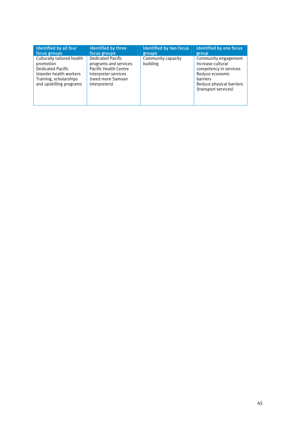| Identified by all four                                                                                                                              | <b>Identified by three</b>                                                                                                                      | <b>Identified by two focus</b> | Identified by one focus                                                                                                                                |
|-----------------------------------------------------------------------------------------------------------------------------------------------------|-------------------------------------------------------------------------------------------------------------------------------------------------|--------------------------------|--------------------------------------------------------------------------------------------------------------------------------------------------------|
| focus groups                                                                                                                                        | focus groups                                                                                                                                    | groups                         | group                                                                                                                                                  |
| Culturally tailored health<br>promotion<br><b>Dedicated Pacific</b><br>Islander health workers<br>Training, scholarships<br>and upskilling programs | <b>Dedicated Pacific</b><br>programs and services<br><b>Pacific Health Centre</b><br>Interpreter services<br>(need more Samoan<br>interpreters) | Community capacity<br>building | Community engagement<br>Increase cultural<br>competency in services<br>Reduce economic<br>barriers<br>Reduce physical barriers<br>(transport services) |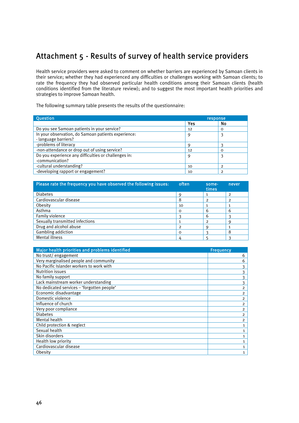# Attachment 5 - Results of survey of health service providers

Health service providers were asked to comment on whether barriers are experienced by Samoan clients in their service; whether they had experienced any difficulties or challenges working with Samoan clients; to rate the frequency they had observed particular health conditions among their Samoan clients (health conditions identified from the literature review); and to suggest the most important health priorities and strategies to improve Samoan health.

The following summary table presents the results of the questionnaire:

| <b>Question</b>                                                             | <b>response</b> |          |
|-----------------------------------------------------------------------------|-----------------|----------|
|                                                                             | Yes             | No       |
| Do you see Samoan patients in your service?                                 | 12              | $\Omega$ |
| In your observation, do Samoan patients experience:<br>- language barriers? | 9               |          |
| -problems of literacy                                                       |                 |          |
| -non-attendance or drop out of using service?                               | 12              | ∩        |
| Do you experience any difficulties or challenges in:<br>-communication?     | 9               |          |
| -cultural understanding?                                                    | 10              |          |
| -developing rapport or engagement?                                          | 10              | っ        |

| Please rate the frequency you have observed the following issues: | often    | some-<br>times | never          |
|-------------------------------------------------------------------|----------|----------------|----------------|
| <b>Diabetes</b>                                                   |          | 1              | 2              |
| Cardiovascular disease                                            | 8        | $\overline{2}$ | $\overline{2}$ |
| Obesity                                                           | 10       |                |                |
| Asthma                                                            | $\Omega$ | 6              | 6              |
| Family violence                                                   |          | 6              |                |
| Sexually transmitted infections                                   |          | $\overline{2}$ |                |
| Drug and alcohol abuse                                            | っ        |                |                |
| Gambling addiction                                                | O        |                | 8              |
| Mental illness                                                    |          |                |                |

| Major health priorities and problems identified | <b>Frequency</b> |
|-------------------------------------------------|------------------|
| No trust/engagement                             | 6                |
| Very marginalised people and community          | 6                |
| No Pacific Islander workers to work with        | 3                |
| <b>Nutrition issues</b>                         |                  |
| No family support                               |                  |
| Lack mainstream worker understanding            | 3                |
| No dedicated services - 'forgotten people'      | $\overline{2}$   |
| Economic disadvantage                           | $\overline{2}$   |
| Domestic violence                               | $\overline{2}$   |
| Influence of church                             | $\overline{2}$   |
| Very poor compliance                            | $\overline{2}$   |
| <b>Diabetes</b>                                 | $\overline{2}$   |
| Mental health                                   | $\overline{2}$   |
| Child protection & neglect                      | $\mathbf{1}$     |
| Sexual health                                   | $\mathbf{1}$     |
| Skin disorders                                  | $\mathbf{1}$     |
| Health low priority                             | $\mathbf{1}$     |
| Cardiovascular disease                          | $\mathbf{1}$     |
| Obesity                                         | 1                |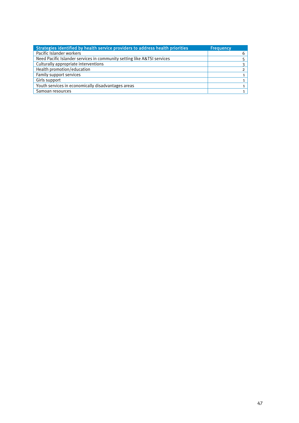| Strategies identified by health service providers to address health priorities | <b>Frequency</b> |
|--------------------------------------------------------------------------------|------------------|
| Pacific Islander workers                                                       | 6                |
| Need Pacific Islander services in community setting like A&TSI services        |                  |
| Culturally appropriate interventions                                           |                  |
| Health promotion/education                                                     |                  |
| Family support services                                                        |                  |
| Girls support                                                                  |                  |
| Youth services in economically disadvantages areas                             |                  |
| Samoan resources                                                               |                  |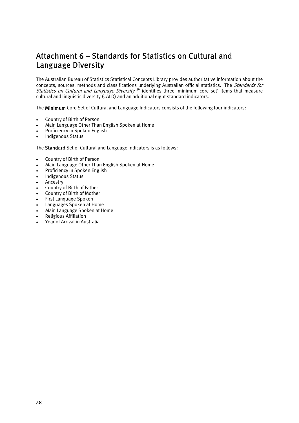# Attachment 6 – Standards for Statistics on Cultural and Language Diversity

The Australian Bureau of Statistics Statistical Concepts Library provides authoritative information about the concepts, sources, methods and classifications underlying Australian official statistics. The Standards for Statistics on Cultural and Language Diversity<sup>56</sup> identifies three 'minimum core set' items that measure cultural and linguistic diversity (CALD) and an additional eight standard indicators.

The Minimum Core Set of Cultural and Language Indicators consists of the following four indicators:

- Country of Birth of Person
- Main Language Other Than English Spoken at Home
- Proficiency in Spoken English
- Indigenous Status

The Standard Set of Cultural and Language Indicators is as follows:

- Country of Birth of Person
- Main Language Other Than English Spoken at Home
- Proficiency in Spoken English
- Indigenous Status
- **Ancestry**
- Country of Birth of Father
- Country of Birth of Mother
- First Language Spoken
- Languages Spoken at Home
- Main Language Spoken at Home
- Religious Affiliation
- Year of Arrival in Australia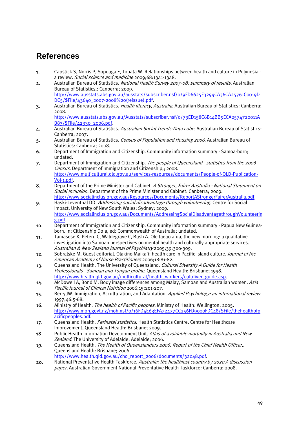# **References**

- 1. Capstick S, Norris P, Sopoaga F, Tobata W. Relationships between health and culture in Polynesia a review. Social science and medicine 2009;68:1341-1348.
- 2. Australian Bureau of Statistics. National Health Survey 2007-08: summary of results. Australian Bureau of Statistics,: Canberra; 2009. http://www.ausstats.abs.gov.au/ausstats/subscriber.nsf/0/9FD6625F3294CA36CA25761C0019D DC5/\$File/43640\_2007-2008%20(reissue).pdf.
- 3. Australian Bureau of Statistics. Health literacy, Australia. Australian Bureau of Statistics: Canberra; 2008. http://www.ausstats.abs.gov.au/Ausstats/subscriber.nsf/0/73ED158C6B14BB5ECA2574720011A
- B83/\$File/42330\_2006.pdf. 4. Australian Bureau of Statistics. Australian Social Trends-Data cube. Australian Bureau of Statistics: Canberra; 2007.
- 5. Australian Bureau of Statistics. Census of Population and Housing 2006. Australian Bureau of Statistics: Canberra; 2008.
- 6. Department of Immigration and Citizenship. Community information summary Samoa-born; undated.
- 7. Department of Immigration and Citizenship. The people of Queensland statistics from the 2006 Census. Department of Immigration and Citizenship,; 2008. http://www.multicultural.qld.gov.au/services-resources/documents/People-of-QLD-Publication-Vol-1.pdf.
- 8. Department of the Prime Minister and Cabinet. A Stronger, Fairer Australia National Statement on Social Inclusion. Department of the Prime Minister and Cabinet: Canberra: 2009. http://www.socialinclusion.gov.au/Resources/Documents/ReportAStrongerFairerAustralia.pdf.
- 9. Haski-Leventhal DD. Addressing social disadvantage through volunteering. Centre for Social Impact, University of New South Wales: Sydney; 2009. http://www.socialinclusion.gov.au/Documents/AddressingSocialDisadvantagethroughVolunteerin g.pdf.
- 10. Department of Immigration and Citizenship. Community information summary Papua New Guineaborn. In: Citizenship DoIa, ed: Commonwealth of Australia; undated.
- 11. Tamasese K, Peteru C, Waldegrave C, Bush A. Ole taeao afua, the new morning: a qualitative investigation into Samoan perspectives on mental health and culturally appropriate services. Australian & New Zealand Journal of Psychiatry 2005;39:300-309.
- 12. Sobralske M. Guest editorial. Olakino Maika'i: health care in Pacific Island culture. Journal of the American Academy of Nurse Practitioners 2006;18:81-82.
- 13. Queensland Health, The University of Queensland. Cultural Diversity A Guide for Health Professionals - Samoan and Tongan profile. Queensland Health: Brisbane; 1998. http://www.health.qld.gov.au/multicultural/health\_workers/cultdiver\_guide.asp.
- 14. McDowell A, Bond M. Body image differences among Malay, Samoan and Australian women. Asia Pacific Journal of Clinical Nutrition 2006;15:201-207.
- 15. Berry JW. Immigration, Acculturation, and Adaptation. Applied Psychology: an international review 1997;46:5-68.
- 16. Ministry of Health. The health of Pacific peoples. Ministry of Health: Wellington; 2005. http://www.moh.govt.nz/moh.nsf/0/16FD4E63EFA72477CC256FD9000FDC48/\$File/thehealthofp acificpeoples.pdf.
- 17. Queensland Health. *Perinatal statistics*. Health Statistics Centre, Centre for Healthcare Improvement, Queensland Health: Brisbane; 2009.
- 18. Public Health Information Development Unit. Atlas of avoidable mortality in Australia and New Zealand. The University of Adelaide: Adelaide; 2006.
- 19. Queensland Health. The Health of Queenslanders 2006. Report of the Chief Health Officer,. Queensland Health: Brisbane; 2006.
- http://www.health.qld.gov.au/cho\_report\_2006/documents/32048.pdf. 20. National Preventative Health Taskforce. Australia: the healthiest country by 2020 A discussion
- paper. Australian Government National Preventative Health Taskforce: Canberra; 2008.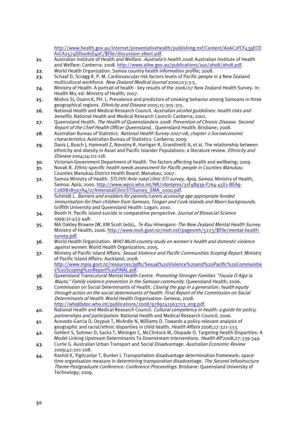http://www.health.gov.au/internet/preventativehealth/publishing.nsf/Content/A06C2FCF439ECD A1CA2574DD0081E40C/\$File/discussion-28oct.pdf.

- 21. Australian Institute of Health and Welfare. Australia's health 2008. Australian Institute of Health and Welfare: Canberra; 2008. http://www.aihw.gov.au/publications/aus/ah08/ah08.pdf.
- 22. World Health Organization. Samoa country health information profile; 2008.
- 23. Schaaf D, Scragg R, P. M. Cardiovascular risk factors levels of Pacific people in a New Zealand multicultural workforce. New Zealand Medical Journal 2000;113:3-5.
- 24. Ministry of Health. A portrait of health key results of the 2006/07 New Zealand Health Survey. In: Health Mo, ed: Ministry of Health; 2007.
- 25. Mishra SI, Osann K, PH. L. Prevalence and predictors of smoking behavior among Samoans in three geographical regions. Ethnicity and Disease 2005;15:305-315.
- 26. National Health and Medical Research Council. Australian alcohol guidelines: health risks and benefits. National Health and Medical Research Council: Canberra; 2001.
- 27. Queensland Health. The Health of Queenslanders 2008: Prevention of Chronic Disease. Second Report of the Chief Health Officer Queensland, . Queensland Health: Brisbane; 2008.
- 28. Australian Bureau of Statistics. National Health Survey 2007-08, chapter 2 Socioeconomic characteristics. Australian Bureau of Statistics: Canberra; 2009.
- 29. Davis J, Busch J, Hammatt Z, Novotny R, Harrigan R, Grandinetti A, et al. The relationship between ethnicity and obesity in Asian and Pacific Islander Populations: a literature review. Ethnicity and Disease 2004;14:111-118.
- 30. Victorian Government Department of Health. The factors affecting health and wellbeing; 2009.
- 31. Novak B. Ethnic-specific health needs assessment for Pacific people in Counties Manukau. Counties Manukau District Health Board: Manukau; 2007.
- 32. Samoa Ministry of Health. STI/HIV Ante natal clinic STI survey, Apia, Samoa. Ministry of Health, Samoa: Apia; 2000. http://www.wpro.who.int/NR/rdonlyres/31F4B939-F764-45E1-BEA9- C28DB1B567A4/0/AntenatalClinicSTISurvey\_SMA\_2000.pdf.
- 33. Schmidt L. Barriers and enablers for parents/carers accessing age appropriate funded immunisation for their children from Samoan, Tongan and Cook Islands and Maori backgrounds. Griffith University and Queensland Health: Logan; 2010.
- 34. Booth H. Pacific island suicide in comparative perspective. Journal of Biosocial Science 1999;31:433-448.
- 35. MA Oakley Browne JW, KM Scott (eds),. Te Rau Hinengaro: The New Zealand Mental Health Survey. Ministry of Health; 2006. http://www.moh.govt.nz/moh.nsf/pagesmh/5223/\$File/mental-healthsurvey.pdf.
- 36. World Health Organization. WHO Multi-country study on women's health and domestic violence against women. World Health Organization; 2005.
- 37. Ministry of Pacific Island Affairs. Sexual Violence and Pacific Communities Scoping Report. Ministry of Pacific Island Affairs: Auckland; 2008. http://www.mpia.govt.nz/resources/pdfs/Sexual%20Violence%20and%20Pacific%20Communitie s%20Scoping%20Report%20FINAL.pdf.
- 38. Queensland Transcutural Mental Health Centre. Promoting Stronger Families "Fausia O Aiga Ia Mautu" Family violence prevention in the Samoan community. Queensland Health; 2006.
- 39. Commission on Social Determinants of Health. Closing the gap in a generation: health equity through action on the social determinants of health. Final Report of the Commission on Social Determinants of Health. World Health Organisation: Geneva; 2008. http://whqlibdoc.who.int/publications/2008/9789241563703\_eng.pdf.
- 40. National Health and Medical Research Council. Cultural competency in health: a guide for policy, partnerships and participation. National Health and Medical Research Council; 2006.
- 41. Acevedo-Garcia D, Osypuk T, McArdle N, Williams D. Towards a policy-relevant analysis of geographic and racial/ethnic disparities in child health. Health Affairs 2008;27:321-333.
- 42. Gehlert S, Sohmer D, Sacks T, Mininger C, McClintock M, Olopade O. Targeting Health Disparities: A Model Linking Upstream Determinants To Downstream Interventions. Health Aff 2008;27:339-349.
- 43. Currie G. Australian Urban Transport and Social Disadvantage. Australian Economic Review 2009;42:201-208.
- 44. Rashid K, Yigitcanlar T, Bunker J. Transportation disadvantage determination framework: spacetime organisation measure in determining transporation disadvantage. The Second Infrastructure Theme Postgraduate Conference: Conference Proceedings. Brisbane: Queensland University of Technology; 2009.